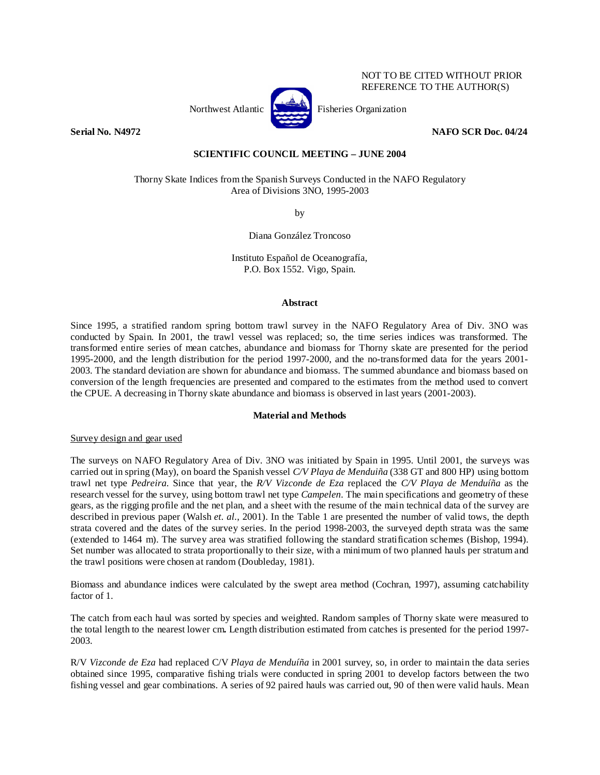

NOT TO BE CITED WITHOUT PRIOR REFERENCE TO THE AUTHOR(S)

## **Serial No. N4972 NAFO SCR Doc. 04/24**

# **SCIENTIFIC COUNCIL MEETING – JUNE 2004**

Thorny Skate Indices from the Spanish Surveys Conducted in the NAFO Regulatory Area of Divisions 3NO, 1995-2003

by

Diana González Troncoso

Instituto Español de Oceanografía, P.O. Box 1552. Vigo, Spain.

#### **Abstract**

Since 1995, a stratified random spring bottom trawl survey in the NAFO Regulatory Area of Div. 3NO was conducted by Spain. In 2001, the trawl vessel was replaced; so, the time series indices was transformed. The transformed entire series of mean catches, abundance and biomass for Thorny skate are presented for the period 1995-2000, and the length distribution for the period 1997-2000, and the no-transformed data for the years 2001- 2003. The standard deviation are shown for abundance and biomass. The summed abundance and biomass based on conversion of the length frequencies are presented and compared to the estimates from the method used to convert the CPUE. A decreasing in Thorny skate abundance and biomass is observed in last years (2001-2003).

## **Material and Methods**

## Survey design and gear used

The surveys on NAFO Regulatory Area of Div. 3NO was initiated by Spain in 1995. Until 2001, the surveys was carried out in spring (May), on board the Spanish vessel *C/V Playa de Menduiña* (338 GT and 800 HP) using bottom trawl net type *Pedreira*. Since that year, the *R/V Vizconde de Eza* replaced the *C/V Playa de Menduíña* as the research vessel for the survey, using bottom trawl net type *Campelen*. The main specifications and geometry of these gears, as the rigging profile and the net plan, and a sheet with the resume of the main technical data of the survey are described in previous paper (Walsh *et. al.*, 2001). In the Table 1 are presented the number of valid tows, the depth strata covered and the dates of the survey series. In the period 1998-2003, the surveyed depth strata was the same (extended to 1464 m). The survey area was stratified following the standard stratification schemes (Bishop, 1994). Set number was allocated to strata proportionally to their size, with a minimum of two planned hauls per stratum and the trawl positions were chosen at random (Doubleday, 1981).

Biomass and abundance indices were calculated by the swept area method (Cochran, 1997), assuming catchability factor of 1.

The catch from each haul was sorted by species and weighted. Random samples of Thorny skate were measured to the total length to the nearest lower cm**.** Length distribution estimated from catches is presented for the period 1997- 2003.

R/V *Vizconde de Eza* had replaced C/V *Playa de Menduíña* in 2001 survey, so, in order to maintain the data series obtained since 1995, comparative fishing trials were conducted in spring 2001 to develop factors between the two fishing vessel and gear combinations. A series of 92 paired hauls was carried out, 90 of then were valid hauls. Mean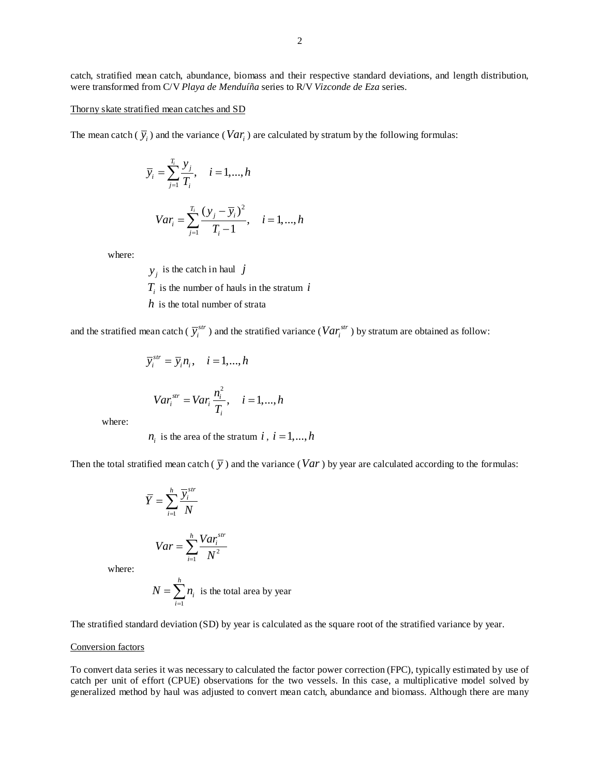catch, stratified mean catch, abundance, biomass and their respective standard deviations, and length distribution, were transformed from C/V *Playa de Menduíña* series to R/V *Vizconde de Eza* series.

### Thorny skate stratified mean catches and SD

The mean catch ( $\overline{y}_i$ ) and the variance (*Var<sub>i</sub>*) are calculated by stratum by the following formulas:

$$
\overline{y}_i = \sum_{j=1}^{T_i} \frac{y_j}{T_i}, \quad i = 1, ..., h
$$
  

$$
Var_i = \sum_{j=1}^{T_i} \frac{(y_j - \overline{y}_i)^2}{T_i - 1}, \quad i = 1, ..., h
$$

where:

 $y_i$  is the catch in haul *j*  $T_i$  is the number of hauls in the stratum  $i$ *h* is the total number of strata

and the stratified mean catch ( $\bar{y}^{str}_i$ ) and the stratified variance ( $Var^{str}_i$ ) by stratum are obtained as follow:

$$
\overline{y}_i^{str} = \overline{y}_i n_i, \quad i = 1, ..., h
$$
  

$$
Var_i^{str} = Var_i \frac{n_i^2}{T_i}, \quad i = 1, ..., h
$$

where:

 $n_i$  is the area of the stratum *i*,  $i = 1, ..., h$ 

Then the total stratified mean catch  $(\bar{y})$  and the variance (*Var*) by year are calculated according to the formulas:

$$
\overline{Y} = \sum_{i=1}^{h} \frac{\overline{Y}_{i}^{str}}{N}
$$

$$
Var = \sum_{i=1}^{h} \frac{Var_{i}^{str}}{N^{2}}
$$

where:

$$
N = \sum_{i=1}^{h} n_i
$$
 is the total area by year

The stratified standard deviation (SD) by year is calculated as the square root of the stratified variance by year.

## Conversion factors

To convert data series it was necessary to calculated the factor power correction (FPC), typically estimated by use of catch per unit of effort (CPUE) observations for the two vessels. In this case, a multiplicative model solved by generalized method by haul was adjusted to convert mean catch, abundance and biomass. Although there are many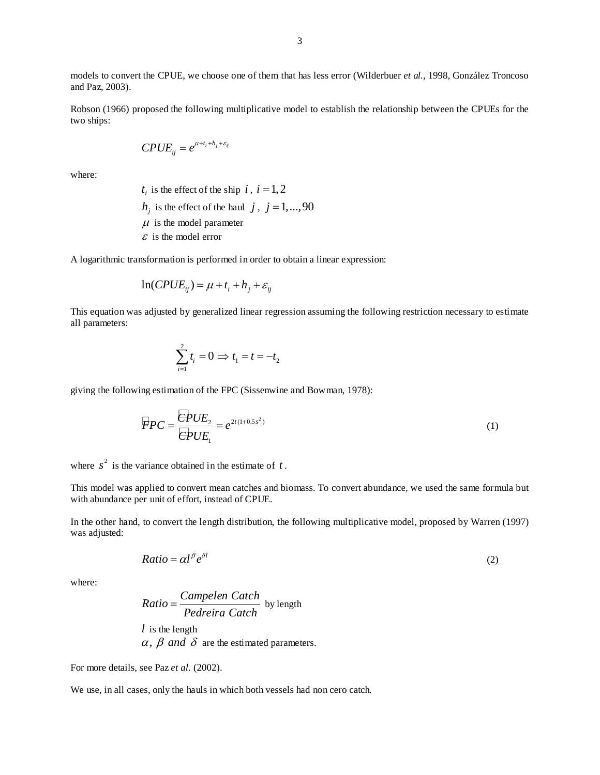models to convert the CPUE, we choose one of them that has less error (Wilderbuer *et al.*, 1998, González Troncoso and Paz, 2003).

Robson (1966) proposed the following multiplicative model to establish the relationship between the CPUEs for the two ships:

$$
CPUE_{ij} = e^{\mu + t_i + h_j + \varepsilon_{ij}}
$$

where:

 $t_i$  is the effect of the ship  $i, i = 1, 2$ 

- $h_j$  is the effect of the haul *j*, *j* = 1,...,90
- $\mu$  is the model parameter
- $\mathcal E$  is the model error

A logarithmic transformation is performed in order to obtain a linear expression:

$$
\ln(CPUE_{ij}) = \mu + t_i + h_j + \varepsilon_{ij}
$$

This equation was adjusted by generalized linear regression assuming the following restriction necessary to estimate all parameters:

$$
\sum_{i=1}^{2} t_i = 0 \Rightarrow t_1 = t = -t_2
$$

giving the following estimation of the FPC (Sissenwine and Bowman, 1978):

$$
\overline{FPC} = \frac{\overline{CPUE}_2}{\overline{CPUE}_1} = e^{2t(1+0.5s^2)}
$$
\n(1)

where  $s^2$  is the variance obtained in the estimate of  $t$ .

This model was applied to convert mean catches and biomass. To convert abundance, we used the same formula but with abundance per unit of effort, instead of CPUE.

In the other hand, to convert the length distribution, the following multiplicative model, proposed by Warren (1997) was adjusted:

$$
Ratio = \alpha l^{\beta} e^{\delta l} \tag{2}
$$

where:

Ratio = 
$$
\frac{Campelen Catch}{Pedreira Catch}
$$
 by length  
l is the length  
 $\alpha$ ,  $\beta$  and  $\delta$  are the estimated parameters.

For more details, see Paz *et al.* (2002).

We use, in all cases, only the hauls in which both vessels had non cero catch.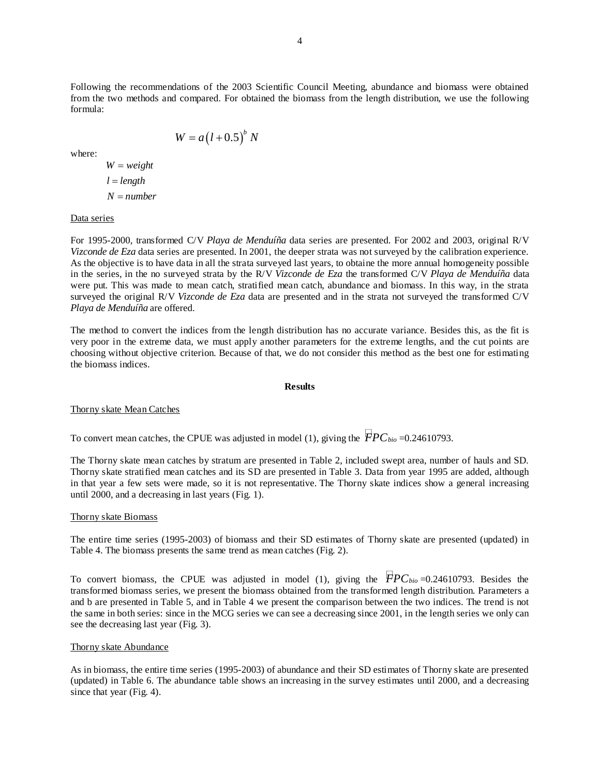Following the recommendations of the 2003 Scientific Council Meeting, abundance and biomass were obtained from the two methods and compared. For obtained the biomass from the length distribution, we use the following formula:

$$
W = a(l+0.5)^b N
$$

where:

$$
W = weight
$$
  

$$
l = length
$$
  

$$
N = number
$$

### Data series

For 1995-2000, transformed C/V *Playa de Menduíña* data series are presented. For 2002 and 2003, original R/V *Vizconde de Eza* data series are presented. In 2001, the deeper strata was not surveyed by the calibration experience. As the objective is to have data in all the strata surveyed last years, to obtaine the more annual homogeneity possible in the series, in the no surveyed strata by the R/V *Vizconde de Eza* the transformed C/V *Playa de Menduíña* data were put. This was made to mean catch, stratified mean catch, abundance and biomass. In this way, in the strata surveyed the original R/V *Vizconde de Eza* data are presented and in the strata not surveyed the transformed C/V *Playa de Menduíña* are offered.

The method to convert the indices from the length distribution has no accurate variance. Besides this, as the fit is very poor in the extreme data, we must apply another parameters for the extreme lengths, and the cut points are choosing without objective criterion. Because of that, we do not consider this method as the best one for estimating the biomass indices.

### **Results**

## Thorny skate Mean Catches

To convert mean catches, the CPUE was adjusted in model (1), giving the  $\overline{PPC}_{bio} = 0.24610793$ .

The Thorny skate mean catches by stratum are presented in Table 2, included swept area, number of hauls and SD. Thorny skate stratified mean catches and its SD are presented in Table 3. Data from year 1995 are added, although in that year a few sets were made, so it is not representative. The Thorny skate indices show a general increasing until 2000, and a decreasing in last years (Fig. 1).

### Thorny skate Biomass

The entire time series (1995-2003) of biomass and their SD estimates of Thorny skate are presented (updated) in Table 4. The biomass presents the same trend as mean catches (Fig. 2).

To convert biomass, the CPUE was adjusted in model (1), giving the  $\overline{FPC_{bio}}=0.24610793$ . Besides the transformed biomass series, we present the biomass obtained from the transformed length distribution. Parameters a and b are presented in Table 5, and in Table 4 we present the comparison between the two indices. The trend is not the same in both series: since in the MCG series we can see a decreasing since 2001, in the length series we only can see the decreasing last year (Fig. 3).

### Thorny skate Abundance

As in biomass, the entire time series (1995-2003) of abundance and their SD estimates of Thorny skate are presented (updated) in Table 6. The abundance table shows an increasing in the survey estimates until 2000, and a decreasing since that year (Fig. 4).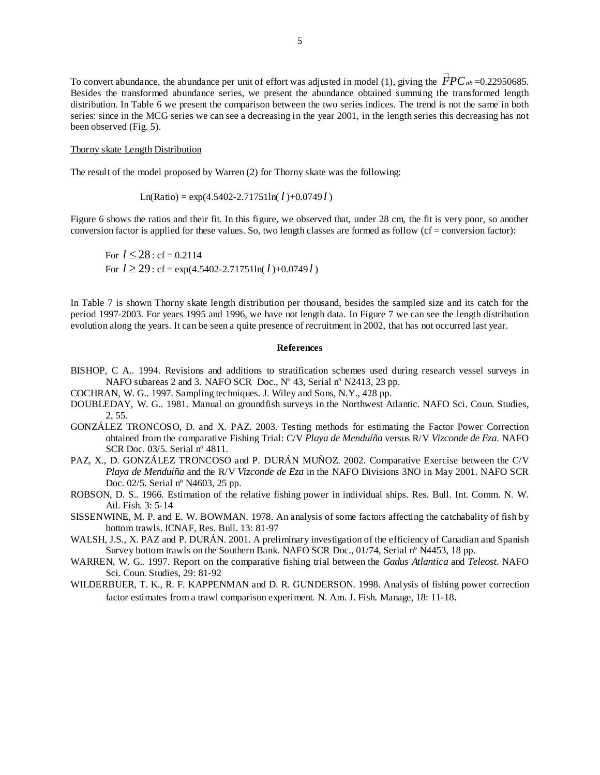To convert abundance, the abundance per unit of effort was adjusted in model (1), giving the  $\overline{FPC}_{ab}$ =0.22950685. Besides the transformed abundance series, we present the abundance obtained summing the transformed length distribution. In Table 6 we present the comparison between the two series indices. The trend is not the same in both series: since in the MCG series we can see a decreasing in the year 2001, in the length series this decreasing has not been observed (Fig. 5).

#### Thorny skate Length Distribution

The result of the model proposed by Warren (2) for Thorny skate was the following:

 $\text{Ln(Ratio)} = \exp(4.5402 - 2.71751 \text{ln}(l) + 0.0749 l)$ 

Figure 6 shows the ratios and their fit. In this figure, we observed that, under 28 cm, the fit is very poor, so another conversion factor is applied for these values. So, two length classes are formed as follow (cf = conversion factor):

For  $l \le 28$ : cf = 0.2114 For  $l \ge 29$ : cf = exp(4.5402-2.71751ln( $l$ )+0.0749 $l$ )

In Table 7 is shown Thorny skate length distribution per thousand, besides the sampled size and its catch for the period 1997-2003. For years 1995 and 1996, we have not length data. In Figure 7 we can see the length distribution evolution along the years. It can be seen a quite presence of recruitment in 2002, that has not occurred last year.

#### **References**

- BISHOP, C A.. 1994. Revisions and additions to stratification schemes used during research vessel surveys in NAFO subareas 2 and 3*.* NAFO SCR Doc., Nº 43, Serial nº N2413, 23 pp.
- COCHRAN, W. G.. 1997. Sampling techniques. J. Wiley and Sons, N.Y., 428 pp.
- DOUBLEDAY, W. G.. 1981. Manual on groundfish surveys in the Northwest Atlantic. NAFO Sci. Coun. Studies, 2, 55.
- GONZÁLEZ TRONCOSO, D. and X. PAZ. 2003. Testing methods for estimating the Factor Power Correction obtained from the comparative Fishing Trial: C/V *Playa de Menduíña* versus R/V *Vizconde de Eza*. NAFO SCR Doc. 03/5. Serial nº 4811.
- PAZ, X., D. GONZÁLEZ TRONCOSO and P. DURÁN MUÑOZ. 2002. Comparative Exercise between the C/V *Playa de Menduíña* and the R/V *Vizconde de Eza* in the NAFO Divisions 3NO in May 2001. NAFO SCR Doc. 02/5. Serial nº N4603, 25 pp.
- ROBSON, D. S.. 1966. Estimation of the relative fishing power in individual ships. Res. Bull. Int. Comm. N. W. Atl. Fish. 3: 5-14
- SISSENWINE, M. P. and E. W. BOWMAN. 1978. An analysis of some factors affecting the catchabality of fish by bottom trawls. ICNAF, Res. Bull. 13: 81-97
- WALSH, J.S., X. PAZ and P. DURÁN. 2001. A preliminary investigation of the efficiency of Canadian and Spanish Survey bottom trawls on the Southern Bank. NAFO SCR Doc., 01/74, Serial nº N4453, 18 pp.
- WARREN, W. G.. 1997. Report on the comparative fishing trial between the *Gadus Atlantica* and *Teleost*. NAFO Sci. Coun. Studies, 29: 81-92
- WILDERBUER, T. K., R. F. KAPPENMAN and D. R. GUNDERSON. 1998. Analysis of fishing power correction factor estimates from a trawl comparison experiment. N. Am. J. Fish. Manage, 18: 11-18.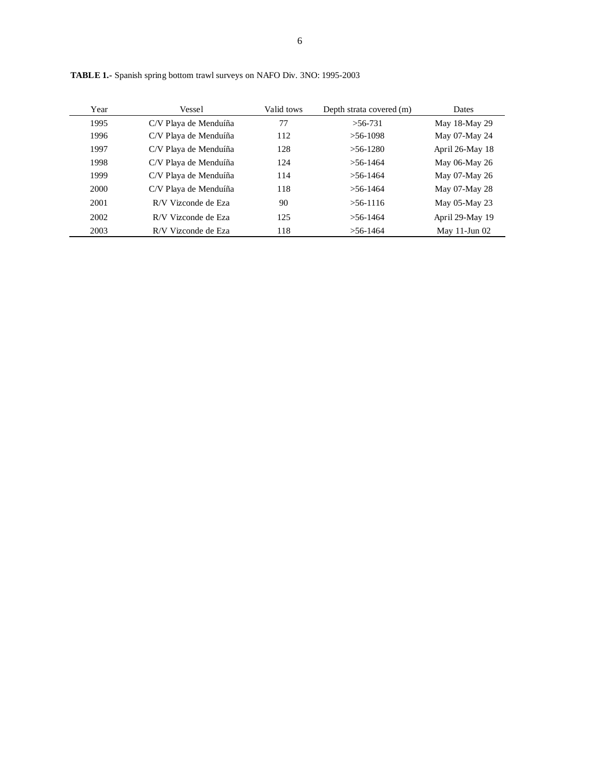| Year | Vessel                | Valid tows | Depth strata covered (m) | <b>Dates</b>       |
|------|-----------------------|------------|--------------------------|--------------------|
| 1995 | C/V Playa de Menduíña | 77         | $>56-731$                | May 18-May 29      |
| 1996 | C/V Playa de Menduíña | 112        | $>56-1098$               | May 07-May 24      |
| 1997 | C/V Playa de Menduíña | 128        | $>56-1280$               | April 26-May 18    |
| 1998 | C/V Playa de Menduíña | 124        | $>$ 56-1464              | May 06-May 26      |
| 1999 | C/V Playa de Menduíña | 114        | $> 56 - 1464$            | May 07-May 26      |
| 2000 | C/V Playa de Menduíña | 118        | $> 56 - 1464$            | May 07-May 28      |
| 2001 | R/V Vizconde de Eza   | 90         | $>56-1116$               | May 05-May 23      |
| 2002 | R/V Vizconde de Eza   | 125        | $>56-1464$               | April 29-May 19    |
| 2003 | R/V Vizconde de Eza   | 118        | $>56-1464$               | May $11$ -Jun $02$ |

**TABLE 1.-** Spanish spring bottom trawl surveys on NAFO Div. 3NO: 1995-2003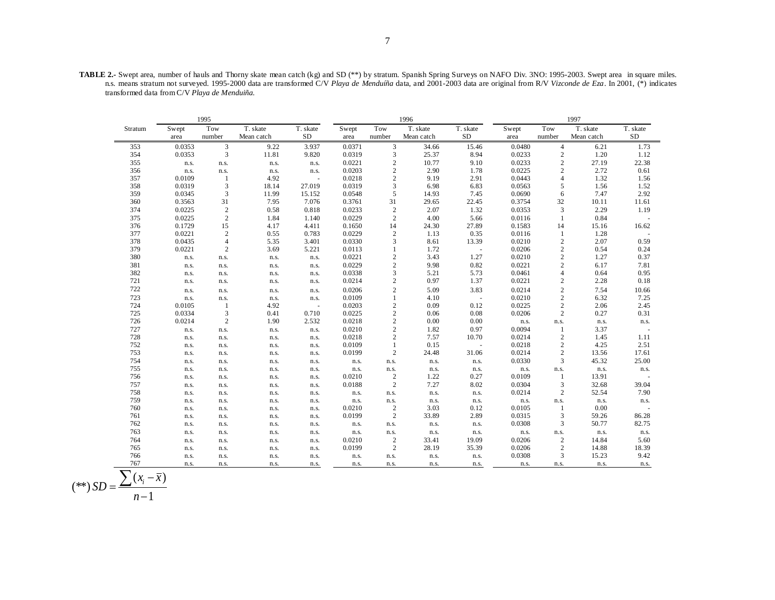**TABLE 2.-** Swept area, number of hauls and Thorny skate mean catch (kg) and SD (\*\*) by stratum. Spanish Spring Surveys on NAFO Div. 3NO: 1995-2003. Swept area in square miles. n.s. means stratum not surveyed. 1995-2000 data are transformed C/V *Playa de Menduíña* data, and 2001-2003 data are original from R/V *Vizconde de Eza*. In 2001, (\*) indicates transformed data from C/V *Playa de Menduiña.*

|         | 1995   |                |            |                          |        |                  | 1996       |           | 1997   |                |            |                          |
|---------|--------|----------------|------------|--------------------------|--------|------------------|------------|-----------|--------|----------------|------------|--------------------------|
| Stratum | Swept  | Tow            | T. skate   | T. skate                 | Swept  | Tow              | T. skate   | T. skate  | Swept  | Tow            | T. skate   | T. skate                 |
|         | area   | number         | Mean catch | <b>SD</b>                | area   | number           | Mean catch | <b>SD</b> | area   | number         | Mean catch | SD                       |
| 353     | 0.0353 | $\mathfrak{Z}$ | 9.22       | 3.937                    | 0.0371 | $\mathfrak{Z}$   | 34.66      | 15.46     | 0.0480 | $\overline{4}$ | 6.21       | 1.73                     |
| 354     | 0.0353 | 3              | 11.81      | 9.820                    | 0.0319 | 3                | 25.37      | 8.94      | 0.0233 | $\sqrt{2}$     | 1.20       | 1.12                     |
| 355     | n.s.   | n.s.           | n.s.       | n.s.                     | 0.0221 | $\mathbf{2}$     | 10.77      | 9.10      | 0.0233 | $\sqrt{2}$     | 27.19      | 22.38                    |
| 356     | n.s.   | n.s.           | n.s.       | n.s.                     | 0.0203 | $\mathbf{2}$     | 2.90       | 1.78      | 0.0225 | $\overline{c}$ | 2.72       | 0.61                     |
| 357     | 0.0109 | -1             | 4.92       |                          | 0.0218 | $\boldsymbol{2}$ | 9.19       | 2.91      | 0.0443 | $\overline{4}$ | 1.32       | 1.56                     |
| 358     | 0.0319 | 3              | 18.14      | 27.019                   | 0.0319 | 3                | 6.98       | 6.83      | 0.0563 | $\sqrt{5}$     | 1.56       | 1.52                     |
| 359     | 0.0345 | 3              | 11.99      | 15.152                   | 0.0548 | 5                | 14.93      | 7.45      | 0.0690 | 6              | 7.47       | 2.92                     |
| 360     | 0.3563 | 31             | 7.95       | 7.076                    | 0.3761 | 31               | 29.65      | 22.45     | 0.3754 | 32             | 10.11      | 11.61                    |
| 374     | 0.0225 | $\sqrt{2}$     | 0.58       | 0.818                    | 0.0233 | $\sqrt{2}$       | 2.07       | 1.32      | 0.0353 | 3              | 2.29       | 1.19                     |
| 375     | 0.0225 | 2              | 1.84       | 1.140                    | 0.0229 | $\overline{c}$   | 4.00       | 5.66      | 0.0116 | $\mathbf{1}$   | 0.84       |                          |
| 376     | 0.1729 | 15             | 4.17       | 4.411                    | 0.1650 | 14               | 24.30      | 27.89     | 0.1583 | 14             | 15.16      | 16.62                    |
| 377     | 0.0221 | $\sqrt{2}$     | 0.55       | 0.783                    | 0.0229 | $\mathbf{2}$     | 1.13       | 0.35      | 0.0116 | $\mathbf{1}$   | 1.28       |                          |
| 378     | 0.0435 | $\overline{4}$ | 5.35       | 3.401                    | 0.0330 | 3                | 8.61       | 13.39     | 0.0210 | $\sqrt{2}$     | 2.07       | 0.59                     |
| 379     | 0.0221 | $\overline{2}$ | 3.69       | 5.221                    | 0.0113 | 1                | 1.72       | $\sim$    | 0.0206 | $\sqrt{2}$     | 0.54       | 0.24                     |
| 380     | n.s.   | n.s.           | n.s.       | n.s.                     | 0.0221 | $\mathbf{2}$     | 3.43       | 1.27      | 0.0210 | $\sqrt{2}$     | 1.27       | 0.37                     |
| 381     | n.s.   | n.s.           | n.s.       | n.s.                     | 0.0229 | $\mathbf{2}$     | 9.98       | 0.82      | 0.0221 | $\sqrt{2}$     | 6.17       | 7.81                     |
| 382     | n.s.   | n.s.           | n.s.       | n.s.                     | 0.0338 | 3                | 5.21       | 5.73      | 0.0461 | $\overline{4}$ | 0.64       | 0.95                     |
| 721     | n.s.   | n.s.           | n.s.       | n.s.                     | 0.0214 | $\boldsymbol{2}$ | 0.97       | 1.37      | 0.0221 | $\sqrt{2}$     | 2.28       | 0.18                     |
| 722     | n.s.   | n.s.           | n.s.       | n.s.                     | 0.0206 | $\mathbf{2}$     | 5.09       | 3.83      | 0.0214 | $\sqrt{2}$     | 7.54       | 10.66                    |
| 723     | n.s.   | n.s.           | n.s.       | n.s.                     | 0.0109 | 1                | 4.10       | $\sim$    | 0.0210 | $\sqrt{2}$     | 6.32       | 7.25                     |
| 724     | 0.0105 | $\mathbf{1}$   | 4.92       | $\overline{\phantom{a}}$ | 0.0203 | $\mathbf{2}$     | 0.09       | 0.12      | 0.0225 | $\sqrt{2}$     | 2.06       | 2.45                     |
| 725     | 0.0334 | 3              | 0.41       | 0.710                    | 0.0225 | $\mathbf{2}$     | 0.06       | 0.08      | 0.0206 | $\overline{c}$ | 0.27       | 0.31                     |
| 726     | 0.0214 | $\overline{2}$ | 1.90       | 2.532                    | 0.0218 | $\mathbf{2}$     | 0.00       | 0.00      | n.s.   | n.s.           | n.s.       | n.s.                     |
| 727     | n.s.   | n.s.           | n.s.       | n.s.                     | 0.0210 | $\mathbf{2}$     | 1.82       | 0.97      | 0.0094 | $\mathbf{1}$   | 3.37       |                          |
| 728     | n.s.   | n.s.           | n.s.       | n.s.                     | 0.0218 | $\boldsymbol{2}$ | 7.57       | 10.70     | 0.0214 | $\sqrt{2}$     | 1.45       | 1.11                     |
| 752     | n.s.   | n.s.           | n.s.       | n.s.                     | 0.0109 | $\mathbf{1}$     | 0.15       | $\sim$    | 0.0218 | $\mathbf{2}$   | 4.25       | 2.51                     |
| 753     | n.s.   | n.s.           | n.s.       | n.s.                     | 0.0199 | $\mathbf{2}$     | 24.48      | 31.06     | 0.0214 | $\sqrt{2}$     | 13.56      | 17.61                    |
| 754     | n.s.   | n.s.           | n.s.       | n.s.                     | n.s.   | n.s.             | n.s.       | n.s.      | 0.0330 | 3              | 45.32      | 25.00                    |
| 755     | n.s.   | n.s.           | n.s.       | n.s.                     | n.s.   | n.s.             | n.s.       | n.s.      | n.s.   | n.s.           | n.s.       | n.s.                     |
| 756     | n.s.   | n.s.           | n.s.       | n.s.                     | 0.0210 | $\sqrt{2}$       | 1.22       | 0.27      | 0.0109 | $\mathbf{1}$   | 13.91      |                          |
| 757     | n.s.   | n.s.           | n.s.       | n.s.                     | 0.0188 | $\overline{c}$   | 7.27       | 8.02      | 0.0304 | $\mathfrak{Z}$ | 32.68      | 39.04                    |
| 758     | n.s.   | n.s.           | n.s.       | n.s.                     | n.s.   | n.s.             | n.s.       | n.s.      | 0.0214 | $\mathfrak{2}$ | 52.54      | 7.90                     |
| 759     | n.s.   | n.s.           | n.s.       | n.s.                     | n.s.   | n.s.             | n.s.       | n.s.      | n.s.   | n.s.           | n.s.       | n.s.                     |
| 760     | n.s.   | n.s.           | n.s.       | n.s.                     | 0.0210 | $\sqrt{2}$       | 3.03       | 0.12      | 0.0105 | -1             | 0.00       | $\overline{\phantom{a}}$ |
| 761     | n.s.   | n.s.           | n.s.       | n.s.                     | 0.0199 | $\sqrt{2}$       | 33.89      | 2.89      | 0.0315 | 3              | 59.26      | 86.28                    |
| 762     | n.s.   | n.s.           | n.s.       | n.s.                     | n.s.   | n.s.             | n.s.       | n.s.      | 0.0308 | 3              | 50.77      | 82.75                    |
| 763     | n.s.   | n.s.           | n.s.       | n.s.                     | n.s.   | n.s.             | n.s.       | n.s.      | n.s.   | n.s.           | n.s.       | n.s.                     |
| 764     | n.s.   | n.s.           | n.s.       | n.s.                     | 0.0210 | $\sqrt{2}$       | 33.41      | 19.09     | 0.0206 | $\mathfrak{2}$ | 14.84      | 5.60                     |
| 765     | n.s.   | n.s.           | n.s.       | n.s.                     | 0.0199 | $\sqrt{2}$       | 28.19      | 35.39     | 0.0206 | $\sqrt{2}$     | 14.88      | 18.39                    |
| 766     | n.s.   | n.s.           | n.s.       | n.s.                     | n.s.   | n.s.             | n.s.       | n.s.      | 0.0308 | 3              | 15.23      | 9.42                     |
| 767     | n.s.   | n.s.           | n.s.       | n.s.                     | n.s.   | n.s.             | n.s.       | n.s.      | n.s.   | n.s.           | n.s.       | n.s.                     |

$$
(**) SD = \frac{\sum (x_i - \overline{x})}{n-1}
$$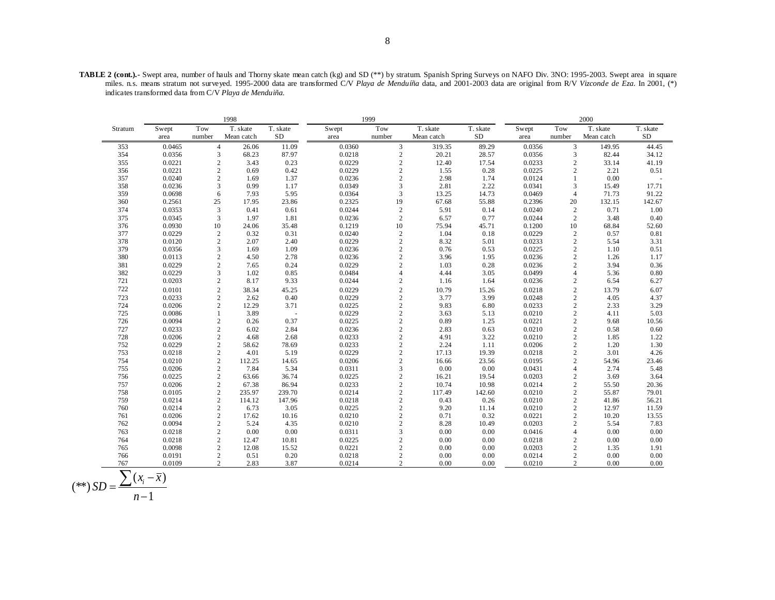**TABLE 2 (cont.).-** Swept area, number of hauls and Thorny skate mean catch (kg) and SD (\*\*) by stratum. Spanish Spring Surveys on NAFO Div. 3NO: 1995-2003. Swept area in square miles. n.s. means stratum not surveyed. 1995-2000 data are transformed C/V *Playa de Menduíña* data, and 2001-2003 data are original from R/V *Vizconde de Eza*. In 2001, (\*) indicates transformed data from C/V *Playa de Menduiña.*

|         | 1998   |                         |            |          | 1999   | 2000                    |            |          |        |                |            |          |
|---------|--------|-------------------------|------------|----------|--------|-------------------------|------------|----------|--------|----------------|------------|----------|
| Stratum | Swept  | Tow                     | T. skate   | T. skate | Swept  | Tow                     | T. skate   | T. skate | Swept  | Tow            | T. skate   | T. skate |
|         | area   | number                  | Mean catch | SD       | area   | number                  | Mean catch | SD       | area   | number         | Mean catch | $\rm SD$ |
| 353     | 0.0465 | $\overline{4}$          | 26.06      | 11.09    | 0.0360 | 3                       | 319.35     | 89.29    | 0.0356 | 3              | 149.95     | 44.45    |
| 354     | 0.0356 | 3                       | 68.23      | 87.97    | 0.0218 | $\sqrt{2}$              | 20.21      | 28.57    | 0.0356 | 3              | 82.44      | 34.12    |
| 355     | 0.0221 | $\sqrt{2}$              | 3.43       | 0.23     | 0.0229 | $\sqrt{2}$              | 12.40      | 17.54    | 0.0233 | $\mathbf{2}$   | 33.14      | 41.19    |
| 356     | 0.0221 | $\sqrt{2}$              | 0.69       | 0.42     | 0.0229 | $\overline{c}$          | 1.55       | 0.28     | 0.0225 | $\overline{c}$ | 2.21       | 0.51     |
| 357     | 0.0240 | $\sqrt{2}$              | 1.69       | 1.37     | 0.0236 | $\overline{c}$          | 2.98       | 1.74     | 0.0124 | $\mathbf{1}$   | 0.00       |          |
| 358     | 0.0236 | 3                       | 0.99       | 1.17     | 0.0349 | 3                       | 2.81       | 2.22     | 0.0341 | 3              | 15.49      | 17.71    |
| 359     | 0.0698 | 6                       | 7.93       | 5.95     | 0.0364 | 3                       | 13.25      | 14.73    | 0.0469 | $\overline{4}$ | 71.73      | 91.22    |
| 360     | 0.2561 | 25                      | 17.95      | 23.86    | 0.2325 | 19                      | 67.68      | 55.88    | 0.2396 | 20             | 132.15     | 142.67   |
| 374     | 0.0353 | $\overline{3}$          | 0.41       | 0.61     | 0.0244 | $\sqrt{2}$              | 5.91       | 0.14     | 0.0240 | $\sqrt{2}$     | 0.71       | 1.00     |
| 375     | 0.0345 | 3                       | 1.97       | 1.81     | 0.0236 | $\overline{c}$          | 6.57       | 0.77     | 0.0244 | 2              | 3.48       | 0.40     |
| 376     | 0.0930 | 10                      | 24.06      | 35.48    | 0.1219 | 10                      | 75.94      | 45.71    | 0.1200 | 10             | 68.84      | 52.60    |
| 377     | 0.0229 | $\sqrt{2}$              | 0.32       | 0.31     | 0.0240 |                         | 1.04       | 0.18     | 0.0229 | $\sqrt{2}$     | 0.57       | 0.81     |
| 378     | 0.0120 | $\sqrt{2}$              | 2.07       | 2.40     | 0.0229 | $\frac{2}{2}$           | 8.32       | 5.01     | 0.0233 | $\sqrt{2}$     | 5.54       | 3.31     |
| 379     | 0.0356 | 3                       | 1.69       | 1.09     | 0.0236 | $\overline{c}$          | 0.76       | 0.53     | 0.0225 | $\sqrt{2}$     | 1.10       | 0.51     |
| 380     | 0.0113 | $\overline{\mathbf{c}}$ | 4.50       | 2.78     | 0.0236 | $\overline{\mathbf{c}}$ | 3.96       | 1.95     | 0.0236 | $\sqrt{2}$     | 1.26       | 1.17     |
| 381     | 0.0229 | $\overline{c}$          | 7.65       | 0.24     | 0.0229 | $\overline{c}$          | 1.03       | 0.28     | 0.0236 | $\sqrt{2}$     | 3.94       | 0.36     |
| 382     | 0.0229 | 3                       | 1.02       | 0.85     | 0.0484 | $\overline{4}$          | 4.44       | 3.05     | 0.0499 | $\overline{4}$ | 5.36       | 0.80     |
| 721     | 0.0203 | $\sqrt{2}$              | 8.17       | 9.33     | 0.0244 | $\overline{c}$          | 1.16       | 1.64     | 0.0236 | $\mathbf{2}$   | 6.54       | 6.27     |
| 722     | 0.0101 |                         | 38.34      | 45.25    | 0.0229 |                         | 10.79      | 15.26    | 0.0218 | $\sqrt{2}$     | 13.79      | 6.07     |
| 723     | 0.0233 | $\frac{2}{2}$           | 2.62       | 0.40     | 0.0229 | $\frac{2}{2}$           | 3.77       | 3.99     | 0.0248 | $\sqrt{2}$     | 4.05       | 4.37     |
| 724     | 0.0206 | $\mathfrak{2}$          | 12.29      | 3.71     | 0.0225 | $\overline{c}$          | 9.83       | 6.80     | 0.0233 | $\sqrt{2}$     | 2.33       | 3.29     |
| 725     | 0.0086 | $\mathbf{1}$            | 3.89       | $\sim$   | 0.0229 | $\sqrt{2}$              | 3.63       | 5.13     | 0.0210 | $\sqrt{2}$     | 4.11       | 5.03     |
| 726     | 0.0094 | $\sqrt{2}$              | 0.26       | 0.37     | 0.0225 | $\overline{c}$          | 0.89       | 1.25     | 0.0221 | $\sqrt{2}$     | 9.68       | 10.56    |
| 727     | 0.0233 | $\sqrt{2}$              | 6.02       | 2.84     | 0.0236 | $\overline{c}$          | 2.83       | 0.63     | 0.0210 | $\sqrt{2}$     | 0.58       | 0.60     |
| 728     | 0.0206 | $\sqrt{2}$              | 4.68       | 2.68     | 0.0233 |                         | 4.91       | 3.22     | 0.0210 | $\sqrt{2}$     | 1.85       | 1.22     |
| 752     | 0.0229 | $\mathfrak 2$           | 58.62      | 78.69    | 0.0233 | $\frac{2}{2}$           | 2.24       | 1.11     | 0.0206 | $\sqrt{2}$     | 1.20       | 1.30     |
| 753     | 0.0218 | $\sqrt{2}$              | 4.01       | 5.19     | 0.0229 | $\overline{c}$          | 17.13      | 19.39    | 0.0218 | $\sqrt{2}$     | 3.01       | 4.26     |
| 754     | 0.0210 | $\mathfrak 2$           | 112.25     | 14.65    | 0.0206 | $\sqrt{2}$              | 16.66      | 23.56    | 0.0195 | $\sqrt{2}$     | 54.96      | 23.46    |
| 755     | 0.0206 | $\mathfrak{2}$          | 7.84       | 5.34     | 0.0311 | $\overline{3}$          | 0.00       | 0.00     | 0.0431 | $\overline{4}$ | 2.74       | 5.48     |
| 756     | 0.0225 | $\mathbf{2}$            | 63.66      | 36.74    | 0.0225 | $\overline{c}$          | 16.21      | 19.54    | 0.0203 | $\mathbf{2}$   | 3.69       | 3.64     |
| 757     | 0.0206 | $\overline{c}$          | 67.38      | 86.94    | 0.0233 | $\overline{c}$          | 10.74      | 10.98    | 0.0214 | $\sqrt{2}$     | 55.50      | 20.36    |
| 758     | 0.0105 | $\sqrt{2}$              | 235.97     | 239.70   | 0.0214 | $\overline{c}$          | 117.49     | 142.60   | 0.0210 | $\sqrt{2}$     | 55.87      | 79.01    |
| 759     | 0.0214 | $\sqrt{2}$              | 114.12     | 147.96   | 0.0218 | $\sqrt{2}$              | 0.43       | 0.26     | 0.0210 | $\sqrt{2}$     | 41.86      | 56.21    |
| 760     | 0.0214 | $\sqrt{2}$              | 6.73       | 3.05     | 0.0225 | $\overline{c}$          | 9.20       | 11.14    | 0.0210 | $\sqrt{2}$     | 12.97      | 11.59    |
| 761     | 0.0206 | $\sqrt{2}$              | 17.62      | 10.16    | 0.0210 | $\overline{c}$          | 0.71       | 0.32     | 0.0221 | $\sqrt{2}$     | 10.20      | 13.55    |
| 762     | 0.0094 | $\sqrt{2}$              | 5.24       | 4.35     | 0.0210 | $\overline{c}$          | 8.28       | 10.49    | 0.0203 | $\sqrt{2}$     | 5.54       | 7.83     |
| 763     | 0.0218 | $\sqrt{2}$              | 0.00       | 0.00     | 0.0311 | 3                       | 0.00       | 0.00     | 0.0416 | $\overline{4}$ | 0.00       | 0.00     |
| 764     | 0.0218 | $\overline{c}$          | 12.47      | 10.81    | 0.0225 | $\overline{c}$          | 0.00       | 0.00     | 0.0218 | $\mathbf{2}$   | 0.00       | 0.00     |
| 765     | 0.0098 | $\mathfrak{2}$          | 12.08      | 15.52    | 0.0221 | $\overline{2}$          | 0.00       | 0.00     | 0.0203 | $\sqrt{2}$     | 1.35       | 1.91     |
| 766     | 0.0191 | $\overline{c}$          | 0.51       | 0.20     | 0.0218 | $\overline{c}$          | 0.00       | 0.00     | 0.0214 | $\sqrt{2}$     | 0.00       | 0.00     |
| 767     | 0.0109 | $\overline{c}$          | 2.83       | 3.87     | 0.0214 | $\overline{2}$          | 0.00       | 0.00     | 0.0210 | $\overline{c}$ | 0.00       | 0.00     |

$$
(**) SD = \frac{\sum (x_i - \overline{x})}{n - 1}
$$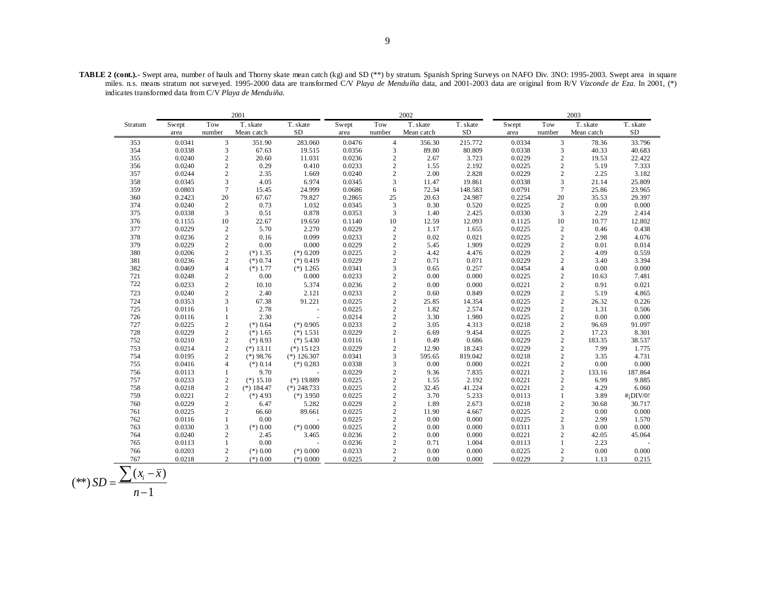**TABLE 2 (cont.).-** Swept area, number of hauls and Thorny skate mean catch (kg) and SD (\*\*) by stratum. Spanish Spring Surveys on NAFO Div. 3NO: 1995-2003. Swept area in square miles. n.s. means stratum not surveyed. 1995-2000 data are transformed C/V *Playa de Menduíña* data, and 2001-2003 data are original from R/V *Vizconde de Eza*. In 2001, (\*) indicates transformed data from C/V *Playa de Menduiña.*

|         | 2001   |                |              |               |        |                | 2002       |          | 2003   |                 |            |              |
|---------|--------|----------------|--------------|---------------|--------|----------------|------------|----------|--------|-----------------|------------|--------------|
| Stratum | Swept  | Tow            | T. skate     | T. skate      | Swept  | Tow            | T. skate   | T. skate | Swept  | Tow             | T. skate   | T. skate     |
|         | area   | number         | Mean catch   | <b>SD</b>     | area   | number         | Mean catch | SD       | area   | number          | Mean catch | ${\rm SD}$   |
| 353     | 0.0341 | 3              | 351.90       | 283.060       | 0.0476 | $\overline{4}$ | 356.30     | 215.772  | 0.0334 | 3               | 78.36      | 33.796       |
| 354     | 0.0338 | 3              | 67.63        | 19.515        | 0.0356 | 3              | 89.80      | 80.809   | 0.0338 | 3               | 40.33      | 40.683       |
| 355     | 0.0240 | $\sqrt{2}$     | 20.60        | 11.031        | 0.0236 | $\sqrt{2}$     | 2.67       | 3.723    | 0.0229 | $\sqrt{2}$      | 19.53      | 22.422       |
| 356     | 0.0240 | $\overline{c}$ | 0.29         | 0.410         | 0.0233 | $\overline{c}$ | 1.55       | 2.192    | 0.0225 | $\overline{c}$  | 5.19       | 7.333        |
| 357     | 0.0244 | $\overline{c}$ | 2.35         | 1.669         | 0.0240 | $\sqrt{2}$     | 2.00       | 2.828    | 0.0229 | $\overline{c}$  | 2.25       | 3.182        |
| 358     | 0.0345 | 3              | 4.05         | 6.974         | 0.0345 | 3              | 11.47      | 19.861   | 0.0338 | 3               | 21.14      | 25.809       |
| 359     | 0.0803 | $\overline{7}$ | 15.45        | 24.999        | 0.0686 | 6              | 72.34      | 148.583  | 0.0791 | $7\phantom{.0}$ | 25.86      | 23.965       |
| 360     | 0.2423 | 20             | 67.67        | 79.827        | 0.2865 | 25             | 20.63      | 24.987   | 0.2254 | 20              | 35.53      | 29.397       |
| 374     | 0.0240 | $\overline{2}$ | 0.73         | 1.032         | 0.0345 | $\mathfrak z$  | 0.30       | 0.520    | 0.0225 | $\sqrt{2}$      | 0.00       | 0.000        |
| 375     | 0.0338 | 3              | 0.51         | 0.878         | 0.0353 | 3              | 1.40       | 2.425    | 0.0330 | 3               | 2.29       | 2.414        |
| 376     | 0.1155 | 10             | 22.67        | 19.650        | 0.1140 | 10             | 12.59      | 12.093   | 0.1125 | 10              | 10.77      | 12.802       |
| 377     | 0.0229 | $\sqrt{2}$     | 5.70         | 2.270         | 0.0229 | $\sqrt{2}$     | 1.17       | 1.655    | 0.0225 | $\sqrt{2}$      | 0.46       | 0.438        |
| 378     | 0.0236 | $\overline{c}$ | 0.16         | 0.099         | 0.0233 | $\overline{2}$ | 0.02       | 0.021    | 0.0225 | $\mathbf{2}$    | 2.98       | 4.076        |
| 379     | 0.0229 | $\sqrt{2}$     | 0.00         | 0.000         | 0.0229 | $\sqrt{2}$     | 5.45       | 1.909    | 0.0229 | $\sqrt{2}$      | 0.01       | 0.014        |
| 380     | 0.0206 | $\sqrt{2}$     | $(*) 1.35$   | $(*)$ 0.209   | 0.0225 | $\sqrt{2}$     | 4.42       | 4.476    | 0.0229 | $\overline{c}$  | 4.09       | 0.559        |
| 381     | 0.0236 | $\overline{c}$ | $(*) 0.74$   | $(*)$ 0.419   | 0.0229 | $\overline{2}$ | 0.71       | 0.071    | 0.0229 | $\overline{c}$  | 3.40       | 3.394        |
| 382     | 0.0469 | $\overline{4}$ | $(*)1.77$    | $(*)$ 1.265   | 0.0341 | 3              | 0.65       | 0.257    | 0.0454 | $\overline{4}$  | 0.00       | 0.000        |
| 721     | 0.0248 | $\overline{c}$ | 0.00         | 0.000         | 0.0233 | $\sqrt{2}$     | 0.00       | 0.000    | 0.0225 | $\mathbf{2}$    | 10.63      | 7.481        |
| 722     | 0.0233 | $\sqrt{2}$     | 10.10        | 5.374         | 0.0236 | $\sqrt{2}$     | 0.00       | 0.000    | 0.0221 | $\mathfrak 2$   | 0.91       | 0.021        |
| 723     | 0.0240 | $\overline{c}$ | 2.40         | 2.121         | 0.0233 | $\overline{2}$ | 0.60       | 0.849    | 0.0229 | $\overline{c}$  | 5.19       | 4.865        |
| 724     | 0.0353 | 3              | 67.38        | 91.221        | 0.0225 | $\sqrt{2}$     | 25.85      | 14.354   | 0.0225 | $\mathfrak{2}$  | 26.32      | 0.226        |
| 725     | 0.0116 | $\mathbf{1}$   | 2.78         |               | 0.0225 | $\sqrt{2}$     | 1.82       | 2.574    | 0.0229 | $\mathfrak 2$   | 1.31       | 0.506        |
| 726     | 0.0116 | $\mathbf{1}$   | 2.30         | $\sim$        | 0.0214 | $\overline{c}$ | 3.30       | 1.980    | 0.0225 | $\mathfrak{2}$  | 0.00       | 0.000        |
| 727     | 0.0225 | $\overline{c}$ | $(*)$ 0.64   | $(*)$ 0.905   | 0.0233 | $\sqrt{2}$     | 3.05       | 4.313    | 0.0218 | $\mathfrak{2}$  | 96.69      | 91.097       |
| 728     | 0.0229 | $\sqrt{2}$     | $(*)1.65$    | $(*)$ 1.531   | 0.0229 | $\sqrt{2}$     | 6.69       | 9.454    | 0.0225 | $\mathfrak{2}$  | 17.23      | 8.301        |
| 752     | 0.0210 | $\overline{c}$ | $(*) 8.93$   | $(*)$ 5.430   | 0.0116 | $\mathbf{1}$   | 0.49       | 0.686    | 0.0229 | $\mathfrak{2}$  | 183.35     | 38.537       |
| 753     | 0.0214 | $\overline{c}$ | $(*) 13.11$  | $(*)$ 15.123  | 0.0229 | $\overline{2}$ | 12.90      | 18.243   | 0.0229 | $\mathfrak{2}$  | 7.99       | 1.775        |
| 754     | 0.0195 | $\overline{c}$ | $(*)$ 98.76  | $(*)$ 126.307 | 0.0341 | 3              | 595.65     | 819.042  | 0.0218 | $\mathfrak{2}$  | 3.35       | 4.731        |
| 755     | 0.0416 | 4              | $(*)$ 0.14   | $(*)$ 0.283   | 0.0338 | 3              | 0.00       | 0.000    | 0.0221 | $\overline{c}$  | 0.00       | 0.000        |
| 756     | 0.0113 | $\mathbf{1}$   | 9.70         |               | 0.0229 | $\overline{c}$ | 9.36       | 7.835    | 0.0221 | $\mathfrak{2}$  | 133.16     | 187.864      |
| 757     | 0.0233 | $\overline{c}$ | $(*) 15.10$  | $(*)$ 19.889  | 0.0225 | $\sqrt{2}$     | 1.55       | 2.192    | 0.0221 | $\mathbf{2}$    | 6.99       | 9.885        |
| 758     | 0.0218 | $\overline{2}$ | $(*)$ 184.47 | $(*)$ 248.733 | 0.0225 | $\sqrt{2}$     | 32.45      | 41.224   | 0.0221 | $\overline{c}$  | 4.29       | 6.060        |
| 759     | 0.0221 | $\sqrt{2}$     | $(*)$ 4.93   | $(*)$ 3.950   | 0.0225 | $\sqrt{2}$     | 3.70       | 5.233    | 0.0113 | $\mathbf{1}$    | 3.89       | $#$ ; DIV/0! |
| 760     | 0.0229 | $\overline{c}$ | 6.47         | 5.282         | 0.0229 | $\sqrt{2}$     | 1.89       | 2.673    | 0.0218 | $\mathbf{2}$    | 30.68      | 30.717       |
| 761     | 0.0225 | $\overline{c}$ | 66.60        | 89.661        | 0.0225 | $\overline{c}$ | 11.90      | 4.667    | 0.0225 | $\overline{c}$  | 0.00       | 0.000        |
| 762     | 0.0116 | $\mathbf{1}$   | 0.00         |               | 0.0225 | $\sqrt{2}$     | 0.00       | 0.000    | 0.0225 | $\mathbf{2}$    | 2.99       | 1.570        |
| 763     | 0.0330 | 3              | $(*) 0.00$   | $(*)$ 0.000   | 0.0225 | $\sqrt{2}$     | 0.00       | 0.000    | 0.0311 | 3               | 0.00       | 0.000        |
| 764     | 0.0240 | $\overline{c}$ | 2.45         | 3.465         | 0.0236 | $\sqrt{2}$     | 0.00       | 0.000    | 0.0221 | $\overline{c}$  | 42.05      | 45.064       |
| 765     | 0.0113 | $\mathbf{1}$   | 0.00         |               | 0.0236 | $\sqrt{2}$     | 0.71       | 1.004    | 0.0113 | 1               | 2.23       |              |
| 766     | 0.0203 | $\overline{c}$ | $(*) 0.00$   | $(*)$ 0.000   | 0.0233 | $\overline{c}$ | 0.00       | 0.000    | 0.0225 | $\mathbf{2}$    | 0.00       | 0.000        |
| 767     | 0.0218 | $\overline{c}$ | $(*) 0.00$   | $(*)$ 0.000   | 0.0225 | $\overline{c}$ | 0.00       | 0.000    | 0.0229 | $\overline{2}$  | 1.13       | 0.215        |

$$
(**) SD = \frac{\sum (x_i - \overline{x})}{n-1}
$$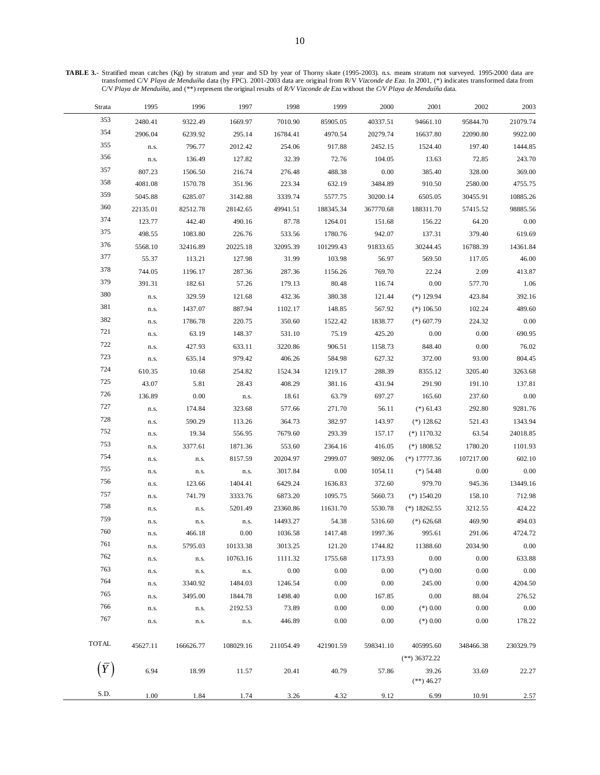**TABLE 3.-** Stratified mean catches (Kg) by stratum and year and SD by year of Thorny skate (1995-2003). n.s. means stratum not surveyed. 1995-2000 data are transformed C/V *Playa de Menduíña* data (by FPC). 2001-2003 data are original from R/V *Vizconde de Eza*. In 2001, (\*) indicates transformed data from C/V *Playa de Menduíña*, and (\*\*) represent the original results of *R/V Vizconde de Eza* without the *C/V Playa de Menduíña* data.

| Strata       | 1995     | 1996      | 1997      | 1998      | 1999      | 2000      | 2001                                     | 2002      | 2003      |
|--------------|----------|-----------|-----------|-----------|-----------|-----------|------------------------------------------|-----------|-----------|
| 353          | 2480.41  | 9322.49   | 1669.97   | 7010.90   | 85905.05  | 40337.51  | 94661.10                                 | 95844.70  | 21079.74  |
| 354          | 2906.04  | 6239.92   | 295.14    | 16784.41  | 4970.54   | 20279.74  | 16637.80                                 | 22090.80  | 9922.00   |
| 355          | n.s.     | 796.77    | 2012.42   | 254.06    | 917.88    | 2452.15   | 1524.40                                  | 197.40    | 1444.85   |
| 356          | n.s.     | 136.49    | 127.82    | 32.39     | 72.76     | 104.05    | 13.63                                    | 72.85     | 243.70    |
| 357          | 807.23   | 1506.50   | 216.74    | 276.48    | 488.38    | 0.00      | 385.40                                   | 328.00    | 369.00    |
| 358          | 4081.08  | 1570.78   | 351.96    | 223.34    | 632.19    | 3484.89   | 910.50                                   | 2580.00   | 4755.75   |
| 359          | 5045.88  | 6285.07   | 3142.88   | 3339.74   | 5577.75   | 30200.14  | 6505.05                                  | 30455.91  | 10885.26  |
| 360          | 22135.01 | 82512.78  | 28142.65  | 49941.51  | 188345.34 | 367770.68 | 188311.70                                | 57415.52  | 98885.56  |
| 374          | 123.77   | 442.40    | 490.16    | 87.78     | 1264.01   | 151.68    | 156.22                                   | 64.20     | 0.00      |
| 375          | 498.55   | 1083.80   | 226.76    | 533.56    | 1780.76   | 942.07    | 137.31                                   | 379.40    | 619.69    |
| 376          | 5568.10  | 32416.89  | 20225.18  | 32095.39  | 101299.43 | 91833.65  | 30244.45                                 | 16788.39  | 14361.84  |
| 377          | 55.37    | 113.21    | 127.98    | 31.99     | 103.98    | 56.97     | 569.50                                   | 117.05    | 46.00     |
| 378          | 744.05   | 1196.17   | 287.36    | 287.36    | 1156.26   | 769.70    | 22.24                                    | 2.09      | 413.87    |
| 379          | 391.31   | 182.61    | 57.26     | 179.13    | 80.48     | 116.74    | 0.00                                     | 577.70    | 1.06      |
| 380          | n.s.     | 329.59    | 121.68    | 432.36    | 380.38    | 121.44    | $(*)$ 129.94                             | 423.84    | 392.16    |
| 381          | n.s.     | 1437.07   | 887.94    | 1102.17   | 148.85    | 567.92    | $(*)106.50$                              | 102.24    | 489.60    |
| 382          | n.s.     | 1786.78   | 220.75    | 350.60    | 1522.42   | 1838.77   | $(*) 607.79$                             | 224.32    | 0.00      |
| 721          | n.s.     | 63.19     | 148.37    | 531.10    | 75.19     | 425.20    | 0.00                                     | 0.00      | 690.95    |
| 722          | n.s.     | 427.93    | 633.11    | 3220.86   | 906.51    | 1158.73   | 848.40                                   | 0.00      | 76.02     |
| 723          | n.s.     | 635.14    | 979.42    | 406.26    | 584.98    | 627.32    | 372.00                                   | 93.00     | 804.45    |
| 724          | 610.35   | 10.68     | 254.82    | 1524.34   | 1219.17   | 288.39    | 8355.12                                  | 3205.40   | 3263.68   |
| 725          | 43.07    | 5.81      | 28.43     | 408.29    | 381.16    | 431.94    | 291.90                                   | 191.10    | 137.81    |
| 726          | 136.89   | $0.00\,$  | n.s.      | 18.61     | 63.79     | 697.27    | 165.60                                   | 237.60    | 0.00      |
| 727          | n.s.     | 174.84    | 323.68    | 577.66    | 271.70    | 56.11     | $(*)$ 61.43                              | 292.80    | 9281.76   |
| 728          | n.s.     | 590.29    | 113.26    | 364.73    | 382.97    | 143.97    | $(*)$ 128.62                             | 521.43    | 1343.94   |
| 752          | n.s.     | 19.34     | 556.95    | 7679.60   | 293.39    | 157.17    | $(*)$ 1170.32                            | 63.54     | 24018.85  |
| 753          | n.s.     | 3377.61   | 1871.36   | 553.60    | 2364.16   | 416.05    | $(*)$ 1808.52                            | 1780.20   | 1101.93   |
| 754          | n.s.     | n.s.      | 8157.59   | 20204.97  | 2999.07   | 9892.06   | $(*)$ 17777.36                           | 107217.00 | 602.10    |
| 755          | n.s.     | n.s.      | n.s.      | 3017.84   | 0.00      | 1054.11   | $(*)$ 54.48                              | 0.00      | 0.00      |
| 756          | n.s.     | 123.66    | 1404.41   | 6429.24   | 1636.83   | 372.60    | 979.70                                   | 945.36    | 13449.16  |
| 757          | n.s.     | 741.79    | 3333.76   | 6873.20   | 1095.75   | 5660.73   | $(*)$ 1540.20                            | 158.10    | 712.98    |
| 758          | n.s.     | n.s.      | 5201.49   | 23360.86  | 11631.70  | 5530.78   | $(*)$ 18262.55                           | 3212.55   | 424.22    |
| 759          | n.s.     | n.s.      | n.s.      | 14493.27  | 54.38     | 5316.60   | $(*)$ 626.68                             | 469.90    | 494.03    |
| 760          | n.s.     | 466.18    | 0.00      | 1036.58   | 1417.48   | 1997.36   | 995.61                                   | 291.06    | 4724.72   |
| 761          | n.s.     | 5795.03   | 10133.38  | 3013.25   | 121.20    | 1744.82   | 11388.60                                 | 2034.90   | 0.00      |
| 762          | n.s.     | n.s.      | 10763.16  | 1111.32   | 1755.68   | 1173.93   | 0.00                                     | 0.00      | 633.88    |
| 763          | n.s.     | n.s.      | n.s.      | 0.00      | 0.00      | 0.00      | $(*)$ 0.00                               | 0.00      | 0.00      |
| 764          | n.s.     | 3340.92   | 1484.03   | 1246.54   | 0.00      | 0.00      | 245.00                                   | 0.00      | 4204.50   |
| 765          | n.s.     | 3495.00   | 1844.78   | 1498.40   | 0.00      | 167.85    | 0.00                                     | 88.04     | 276.52    |
| 766          | n.s.     | n.s.      | 2192.53   | 73.89     | 0.00      | 0.00      | $(*) 0.00$                               | 0.00      | 0.00      |
| 767          | n.s.     | n.s.      | n.s.      | 446.89    | 0.00      | 0.00      | $(*)$ 0.00                               | 0.00      | 178.22    |
| <b>TOTAL</b> | 45627.11 | 166626.77 | 108029.16 | 211054.49 | 421901.59 | 598341.10 | 405995.60                                | 348466.38 | 230329.79 |
| $(\bar{Y})$  | 6.94     | 18.99     | 11.57     | 20.41     | 40.79     | 57.86     | $(**)$ 36372.22<br>39.26<br>$(**)$ 46.27 | 33.69     | 22.27     |
| S.D.         | 1.00     | 1.84      | 1.74      | 3.26      | 4.32      | 9.12      | 6.99                                     | 10.91     | 2.57      |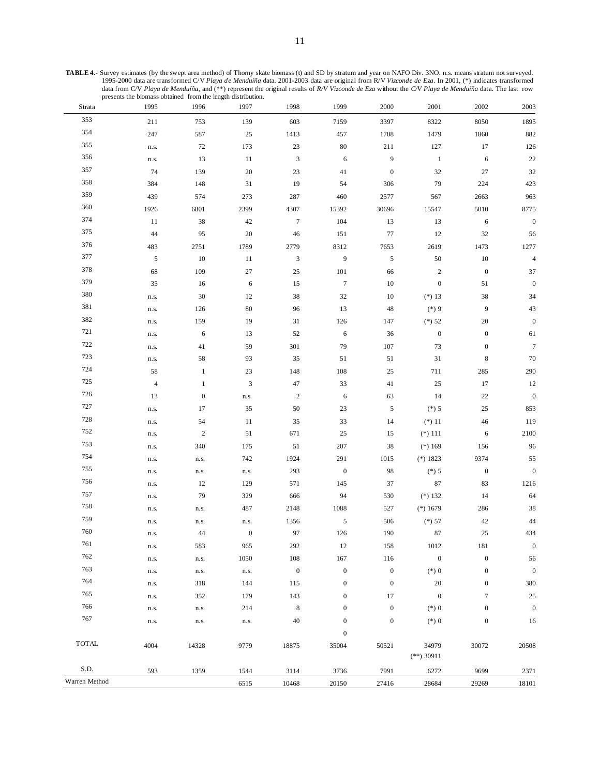| Strata        | 1995           | 1996             | 1997             | 1998                      | 1999             | 2000             | 2001             | 2002             | 2003             |
|---------------|----------------|------------------|------------------|---------------------------|------------------|------------------|------------------|------------------|------------------|
| 353           | 211            | 753              | 139              | 603                       | 7159             | 3397             | 8322             | 8050             | 1895             |
| 354           | 247            | 587              | $25\,$           | 1413                      | 457              | 1708             | 1479             | 1860             | 882              |
| 355           | n.s.           | $72\,$           | 173              | $23\,$                    | $80\,$           | $211\,$          | 127              | $17\,$           | 126              |
| 356           | n.s.           | 13               | 11               | $\mathfrak{Z}$            | $\sqrt{6}$       | $\boldsymbol{9}$ | $\mathbf{1}$     | 6                | $22\,$           |
| 357           | 74             | 139              | 20               | 23                        | $41\,$           | $\boldsymbol{0}$ | $32\,$           | 27               | 32               |
| 358           | 384            | 148              | 31               | 19                        | 54               | 306              | 79               | 224              | 423              |
| 359           | 439            | 574              | 273              | 287                       | 460              | 2577             | 567              | 2663             | 963              |
| 360           | 1926           | 6801             | 2399             | 4307                      | 15392            | 30696            | 15547            | 5010             | 8775             |
| 374           | 11             | $38\,$           | 42               | $\boldsymbol{7}$          | 104              | 13               | 13               | 6                | $\boldsymbol{0}$ |
| 375           | 44             | 95               | 20               | 46                        | 151              | $77\,$           | 12               | $32\,$           | 56               |
| 376           | 483            | 2751             | 1789             | 2779                      | 8312             | 7653             | 2619             | 1473             | 1277             |
| 377           | $\mathfrak s$  | $10\,$           | $11\,$           | $\ensuremath{\mathbf{3}}$ | $\boldsymbol{9}$ | $\sqrt{5}$       | $50\,$           | $10\,$           | $\sqrt{4}$       |
| 378           | 68             | 109              | $27\,$           | $25\,$                    | 101              | 66               | $\sqrt{2}$       | $\boldsymbol{0}$ | 37               |
| 379           | 35             | $16\,$           | 6                | 15                        | $\boldsymbol{7}$ | $10\,$           | $\boldsymbol{0}$ | 51               | $\boldsymbol{0}$ |
| 380           | n.s.           | $30\,$           | 12               | $38\,$                    | $32\,$           | $10\,$           | $(*) 13$         | $38\,$           | 34               |
| 381           | n.s.           | 126              | 80               | 96                        | 13               | $48\,$           | $(*)9$           | 9                | 43               |
| 382           | n.s.           | 159              | 19               | $31\,$                    | 126              | 147              | $(*) 52$         | $20\,$           | $\boldsymbol{0}$ |
| 721           | n.s.           | $\sqrt{6}$       | 13               | 52                        | $\sqrt{6}$       | $36\,$           | $\boldsymbol{0}$ | $\boldsymbol{0}$ | 61               |
| 722           | n.s.           | 41               | 59               | 301                       | 79               | 107              | 73               | $\boldsymbol{0}$ | $\boldsymbol{7}$ |
| 723           | n.s.           | 58               | 93               | 35                        | 51               | 51               | 31               | $\,8\,$          | $70\,$           |
| 724           | 58             | $\mathbf{1}$     | 23               | 148                       | 108              | 25               | 711              | 285              | 290              |
| 725           | $\overline{4}$ | $\mathbf{1}$     | 3                | 47                        | 33               | $41\,$           | $25\,$           | 17               | 12               |
| 726           | 13             | $\boldsymbol{0}$ | n.s.             | $\overline{c}$            | $\sqrt{6}$       | 63               | 14               | 22               | $\boldsymbol{0}$ |
| 727           | n.s.           | $17\,$           | $35\,$           | $50\,$                    | 23               | $\sqrt{5}$       | $(*) 5$          | $25\,$           | 853              |
| 728           | n.s.           | 54               | 11               | 35                        | 33               | 14               | $(*) 11$         | 46               | 119              |
| 752           | n.s.           | $\sqrt{2}$       | 51               | 671                       | 25               | 15               | $(*) 111$        | 6                | 2100             |
| 753           | n.s.           | 340              | 175              | 51                        | 207              | 38               | $(*) 169$        | 156              | 96               |
| 754           | n.s.           | n.s.             | 742              | 1924                      | 291              | 1015             | $(*) 1823$       | 9374             | 55               |
| 755           | n.s.           | n.s.             | n.s.             | 293                       | $\boldsymbol{0}$ | 98               | $(*) 5$          | $\boldsymbol{0}$ | $\boldsymbol{0}$ |
| 756           | n.s.           | 12               | 129              | 571                       | 145              | 37               | $87\,$           | 83               | 1216             |
| 757           | n.s.           | 79               | 329              | 666                       | 94               | 530              | $(*) 132$        | 14               | 64               |
| 758           | n.s.           | n.s.             | 487              | 2148                      | 1088             | 527              | $(*) 1679$       | 286              | 38               |
| 759           | n.s.           | n.s.             | n.s.             | 1356                      | $\mathfrak s$    | 506              | $(*) 57$         | $42\,$           | $44\,$           |
| 760           | n.s.           | 44               | $\boldsymbol{0}$ | 97                        | 126              | 190              | 87               | $25\,$           | 434              |
| 761           | n.s.           | 583              | 965              | 292                       | 12               | 158              | 1012             | 181              | $\boldsymbol{0}$ |
| 762           | n.s.           | n.s.             | 1050             | 108                       | 167              | 116              | $\boldsymbol{0}$ | $\boldsymbol{0}$ | 56               |
| 763           | n.s.           | n.s.             | n.s.             | $\boldsymbol{0}$          | $\boldsymbol{0}$ | $\boldsymbol{0}$ | $(\ast)$ 0       | $\boldsymbol{0}$ | $\boldsymbol{0}$ |
| 764           | n.s.           | 318              | 144              | 115                       | $\boldsymbol{0}$ | $\boldsymbol{0}$ | $20\,$           | $\boldsymbol{0}$ | 380              |
| 765           | n.s.           | 352              | 179              | 143                       | $\boldsymbol{0}$ | 17               | $\boldsymbol{0}$ | $\boldsymbol{7}$ | $25\,$           |
| 766           | n.s.           | n.s.             | 214              | $\,$ 8 $\,$               | $\boldsymbol{0}$ | $\boldsymbol{0}$ | $(\ast)$ 0       | $\boldsymbol{0}$ | $\boldsymbol{0}$ |
| 767           | n.s.           | n.s.             | n.s.             | 40                        | $\boldsymbol{0}$ | $\boldsymbol{0}$ | $(*)0$           | $\boldsymbol{0}$ | 16               |
|               |                |                  |                  |                           | $\boldsymbol{0}$ |                  |                  |                  |                  |
| <b>TOTAL</b>  | 4004           | 14328            | 9779             | 18875                     | 35004            | 50521            | 34979            | 30072            | 20508            |
|               |                |                  |                  |                           |                  |                  | $(**)$ 30911     |                  |                  |
| S.D.          | 593            | 1359             | 1544             | 3114                      | 3736             | 7991             | 6272             | 9699             | 2371             |
| Warren Method |                |                  | 6515             | 10468                     | 20150            | 27416            | 28684            | 29269            | 18101            |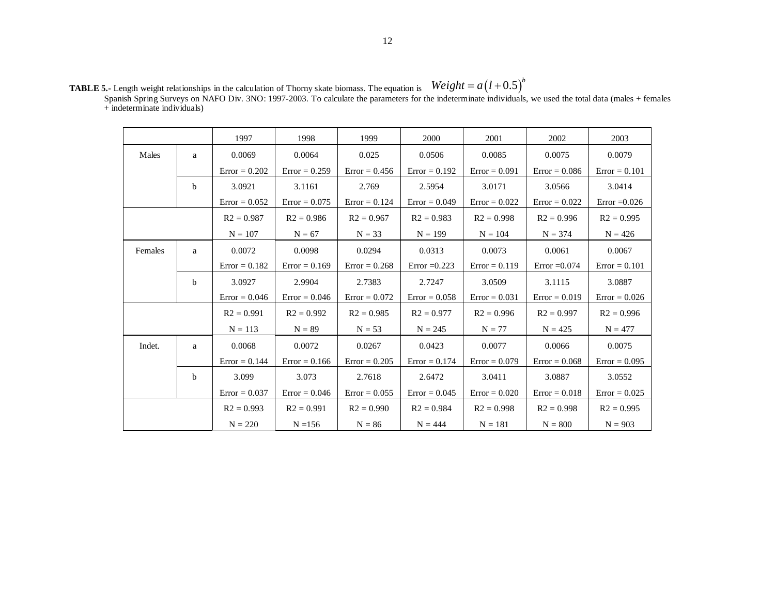|         |             | 1997            | 1998            | 1999            | 2000            | 2001            | 2002            | 2003            |
|---------|-------------|-----------------|-----------------|-----------------|-----------------|-----------------|-----------------|-----------------|
| Males   | a           | 0.0069          | 0.0064          | 0.025           | 0.0506          | 0.0085          | 0.0075          | 0.0079          |
|         |             | $Error = 0.202$ | $Error = 0.259$ | $Error = 0.456$ | $Error = 0.192$ | $Error = 0.091$ | $Error = 0.086$ | $Error = 0.101$ |
|         | b           | 3.0921          | 3.1161          | 2.769           | 2.5954          | 3.0171          | 3.0566          | 3.0414          |
|         |             | $Error = 0.052$ | $Error = 0.075$ | $Error = 0.124$ | $Error = 0.049$ | $Error = 0.022$ | $Error = 0.022$ | Error $=0.026$  |
|         |             | $R2 = 0.987$    | $R2 = 0.986$    | $R2 = 0.967$    | $R2 = 0.983$    | $R2 = 0.998$    | $R2 = 0.996$    | $R2 = 0.995$    |
|         |             | $N = 107$       | $N = 67$        | $N = 33$        | $N = 199$       | $N = 104$       | $N = 374$       | $N = 426$       |
| Females | a           | 0.0072          | 0.0098          | 0.0294          | 0.0313          | 0.0073          | 0.0061          | 0.0067          |
|         |             | $Error = 0.182$ | $Error = 0.169$ | $Error = 0.268$ | Error $=0.223$  | $Error = 0.119$ | $Error = 0.074$ | $Error = 0.101$ |
|         | $\mathbf b$ | 3.0927          | 2.9904          | 2.7383          | 2.7247          | 3.0509          | 3.1115          | 3.0887          |
|         |             | $Error = 0.046$ | $Error = 0.046$ | $Error = 0.072$ | $Error = 0.058$ | $Error = 0.031$ | $Error = 0.019$ | $Error = 0.026$ |
|         |             | $R2 = 0.991$    | $R2 = 0.992$    | $R2 = 0.985$    | $R2 = 0.977$    | $R2 = 0.996$    | $R2 = 0.997$    | $R2 = 0.996$    |
|         |             | $N = 113$       | $N = 89$        | $N = 53$        | $N = 245$       | $N = 77$        | $N = 425$       | $N = 477$       |
| Indet.  | a           | 0.0068          | 0.0072          | 0.0267          | 0.0423          | 0.0077          | 0.0066          | 0.0075          |
|         |             | $Error = 0.144$ | $Error = 0.166$ | $Error = 0.205$ | $Error = 0.174$ | $Error = 0.079$ | $Error = 0.068$ | $Error = 0.095$ |
|         | b           | 3.099           | 3.073           | 2.7618          | 2.6472          | 3.0411          | 3.0887          | 3.0552          |
|         |             | $Error = 0.037$ | $Error = 0.046$ | $Error = 0.055$ | $Error = 0.045$ | $Error = 0.020$ | $Error = 0.018$ | $Error = 0.025$ |
|         |             |                 | $R2 = 0.991$    | $R2 = 0.990$    | $R2 = 0.984$    | $R2 = 0.998$    | $R2 = 0.998$    | $R2 = 0.995$    |
|         |             | $N = 220$       | $N = 156$       | $N = 86$        | $N = 444$       | $N = 181$       | $N = 800$       | $N = 903$       |

**TABLE 5.-** Length weight relationships in the calculation of Thorny skate biomass. The equation is Spanish Spring Surveys on NAFO Div. 3NO: 1997-2003. To calculate the parameters for the indeterminate individuals, we used the total data (males + females  $+$  indeterminate individuals)  $Weight = a(l+0.5)^b$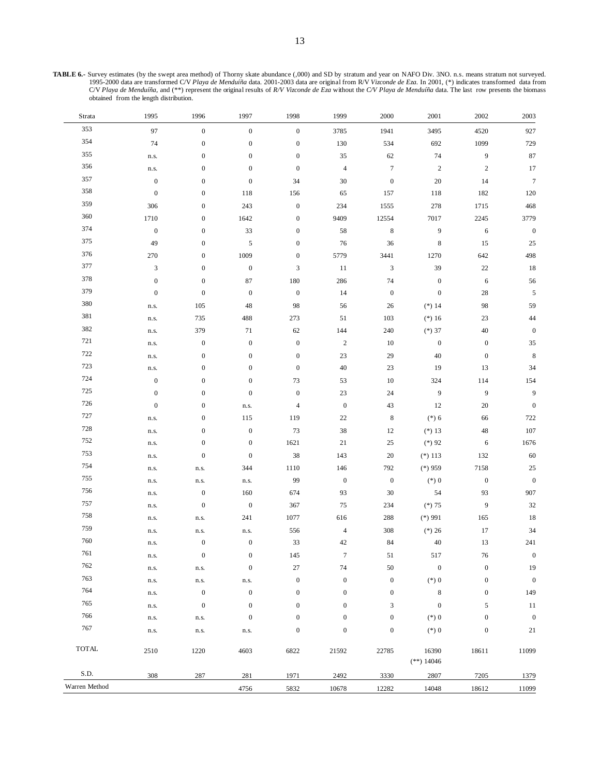| Strata        | 1995             | 1996             | 1997             | 1998             | 1999             | 2000                      | 2001                  | 2002             | 2003             |
|---------------|------------------|------------------|------------------|------------------|------------------|---------------------------|-----------------------|------------------|------------------|
| 353           | 97               | $\boldsymbol{0}$ | $\boldsymbol{0}$ | $\boldsymbol{0}$ | 3785             | 1941                      | 3495                  | 4520             | 927              |
| 354           | 74               | $\boldsymbol{0}$ | $\boldsymbol{0}$ | $\boldsymbol{0}$ | 130              | 534                       | 692                   | 1099             | 729              |
| 355           | n.s.             | $\boldsymbol{0}$ | $\boldsymbol{0}$ | $\boldsymbol{0}$ | 35               | 62                        | 74                    | $\boldsymbol{9}$ | 87               |
| 356           | n.s.             | $\boldsymbol{0}$ | $\boldsymbol{0}$ | $\boldsymbol{0}$ | $\overline{4}$   | $\boldsymbol{7}$          | $\sqrt{2}$            | $\sqrt{2}$       | 17               |
| 357           | $\boldsymbol{0}$ | $\boldsymbol{0}$ | $\boldsymbol{0}$ | 34               | $30\,$           | $\boldsymbol{0}$          | 20                    | 14               | $\tau$           |
| 358           | $\boldsymbol{0}$ | $\boldsymbol{0}$ | 118              | 156              | 65               | 157                       | 118                   | 182              | 120              |
| 359           | 306              | $\boldsymbol{0}$ | 243              | $\boldsymbol{0}$ | 234              | 1555                      | 278                   | 1715             | 468              |
| 360           | 1710             | $\boldsymbol{0}$ | 1642             | $\boldsymbol{0}$ | 9409             | 12554                     | 7017                  | 2245             | 3779             |
| 374           | $\boldsymbol{0}$ | $\boldsymbol{0}$ | 33               | $\boldsymbol{0}$ | 58               | $\,$ 8 $\,$               | $\boldsymbol{9}$      | $\sqrt{6}$       | $\boldsymbol{0}$ |
| 375           | 49               | $\boldsymbol{0}$ | 5                | $\boldsymbol{0}$ | 76               | 36                        | $\,8\,$               | 15               | 25               |
| 376           | 270              | $\boldsymbol{0}$ | 1009             | $\boldsymbol{0}$ | 5779             | 3441                      | 1270                  | 642              | 498              |
| 377           | $\mathfrak{Z}$   | $\boldsymbol{0}$ | $\boldsymbol{0}$ | $\mathfrak{Z}$   | $11\,$           | $\ensuremath{\mathsf{3}}$ | 39                    | $22\,$           | $18\,$           |
| 378           | $\boldsymbol{0}$ | $\boldsymbol{0}$ | 87               | 180              | 286              | 74                        | $\boldsymbol{0}$      | $\sqrt{6}$       | 56               |
| 379           | $\boldsymbol{0}$ | $\boldsymbol{0}$ | $\boldsymbol{0}$ | $\boldsymbol{0}$ | 14               | $\boldsymbol{0}$          | $\boldsymbol{0}$      | 28               | $\sqrt{5}$       |
| 380           | n.s.             | 105              | 48               | 98               | 56               | 26                        | $(*) 14$              | 98               | 59               |
| 381           | n.s.             | 735              | 488              | 273              | 51               | 103                       | $(*) 16$              | $23\,$           | $44\,$           |
| 382           | n.s.             | 379              | 71               | 62               | 144              | 240                       | $(*)37$               | $40\,$           | $\boldsymbol{0}$ |
| 721           | n.s.             | $\boldsymbol{0}$ | $\boldsymbol{0}$ | $\boldsymbol{0}$ | $\sqrt{2}$       | $10\,$                    | $\boldsymbol{0}$      | $\boldsymbol{0}$ | $35\,$           |
| 722           | n.s.             | $\boldsymbol{0}$ | $\boldsymbol{0}$ | $\boldsymbol{0}$ | 23               | 29                        | 40                    | $\boldsymbol{0}$ | $\,8\,$          |
| 723           | n.s.             | $\boldsymbol{0}$ | $\boldsymbol{0}$ | $\boldsymbol{0}$ | $40\,$           | $23\,$                    | 19                    | 13               | 34               |
| 724           | $\boldsymbol{0}$ | $\boldsymbol{0}$ | $\boldsymbol{0}$ | 73               | 53               | $10\,$                    | 324                   | 114              | 154              |
| $725\,$       | $\boldsymbol{0}$ | $\boldsymbol{0}$ | $\boldsymbol{0}$ | $\boldsymbol{0}$ | 23               | 24                        | 9                     | 9                | $\overline{9}$   |
| 726           | $\boldsymbol{0}$ | $\boldsymbol{0}$ | n.s.             | $\overline{4}$   | $\boldsymbol{0}$ | 43                        | $12\,$                | $20\,$           | $\boldsymbol{0}$ |
| 727           | n.s.             | $\boldsymbol{0}$ | 115              | 119              | $22\,$           | $\,$ 8 $\,$               | $(*) 6$               | 66               | 722              |
| 728           | n.s.             | $\boldsymbol{0}$ | $\boldsymbol{0}$ | 73               | $38\,$           | $12\,$                    | $(*) 13$              | $48\,$           | 107              |
| 752           | n.s.             | $\boldsymbol{0}$ | $\boldsymbol{0}$ | 1621             | $21\,$           | $25\,$                    | $(*)92$               | 6                | 1676             |
| 753           | n.s.             | $\boldsymbol{0}$ | $\boldsymbol{0}$ | $38\,$           | 143              | $20\,$                    | $(*)113$              | 132              | 60               |
| 754           | n.s.             | n.s.             | 344              | 1110             | 146              | 792                       | $(*)959$              | 7158             | $25\,$           |
| 755           | n.s.             | n.s.             | n.s.             | 99               | $\boldsymbol{0}$ | $\boldsymbol{0}$          | $(*)0$                | $\boldsymbol{0}$ | $\boldsymbol{0}$ |
| 756           | n.s.             | $\boldsymbol{0}$ | 160              | 674              | 93               | 30                        | 54                    | 93               | 907              |
| 757           | n.s.             | $\boldsymbol{0}$ | $\boldsymbol{0}$ | 367              | 75               | 234                       | $(*)75$               | $\boldsymbol{9}$ | $32\,$           |
| 758           | n.s.             | n.s.             | 241              | 1077             | 616              | 288                       | $(*)$ 991             | 165              | 18               |
| 759           | n.s.             | n.s.             | n.s.             | 556              | $\overline{4}$   | 308                       | $(*) 26$              | 17               | 34               |
| 760           | n.s.             | $\boldsymbol{0}$ | $\boldsymbol{0}$ | 33               | 42               | 84                        | 40                    | 13               | 241              |
| 761           | n.s.             | $\boldsymbol{0}$ | $\boldsymbol{0}$ | 145              | $\boldsymbol{7}$ | 51                        | 517                   | $76\,$           | $\boldsymbol{0}$ |
| 762           | n.s.             | n.s.             | $\boldsymbol{0}$ | $27\,$           | 74               | $50\,$                    | $\boldsymbol{0}$      | $\boldsymbol{0}$ | 19               |
| 763           | n.s.             | n.s.             | n.s.             | $\boldsymbol{0}$ | $\boldsymbol{0}$ | $\boldsymbol{0}$          | $(*)0$                | $\boldsymbol{0}$ | $\boldsymbol{0}$ |
| 764           | n.s.             | $\boldsymbol{0}$ | $\boldsymbol{0}$ | $\boldsymbol{0}$ | $\boldsymbol{0}$ | $\boldsymbol{0}$          | $\,8\,$               | $\boldsymbol{0}$ | 149              |
| 765           | n.s.             | $\boldsymbol{0}$ | $\boldsymbol{0}$ | $\boldsymbol{0}$ | $\boldsymbol{0}$ | $\ensuremath{\mathsf{3}}$ | $\boldsymbol{0}$      | $\mathfrak s$    | 11               |
| 766           | n.s.             | n.s.             | $\boldsymbol{0}$ | $\boldsymbol{0}$ | $\boldsymbol{0}$ | $\boldsymbol{0}$          | $(*)0$                | $\boldsymbol{0}$ | $\boldsymbol{0}$ |
| 767           | n.s.             | n.s.             | n.s.             | $\boldsymbol{0}$ | $\boldsymbol{0}$ | $\boldsymbol{0}$          | $(*)0$                | $\boldsymbol{0}$ | 21               |
| <b>TOTAL</b>  | 2510             | 1220             | 4603             | 6822             | 21592            | 22785                     | 16390<br>$(**) 14046$ | 18611            | 11099            |
| S.D.          | 308              | 287              | 281              | 1971             | 2492             | 3330                      | 2807                  | 7205             | 1379             |
| Warren Method |                  |                  | 4756             | 5832             | 10678            | 12282                     | 14048                 | 18612            | 11099            |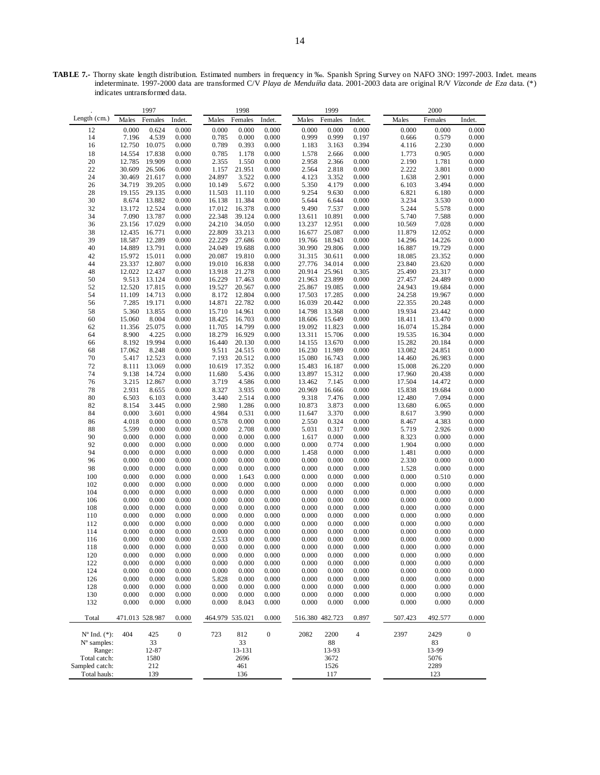TABLE 7.- Thorny skate length distribution. Estimated numbers in frequency in ‰. Spanish Spring Survey on NAFO 3NO: 1997-2003. Indet. means indeterminate. 1997-2000 data are transformed C/V *Playa de Menduíña* data. 2001-2003 data are original R/V *Vizconde de Eza* data. (\*) indicates untransformed data.

|                          |                 | 1997             |                  |                  | 1998             |                  |                  | 1999             |                |                  | 2000             |                  |
|--------------------------|-----------------|------------------|------------------|------------------|------------------|------------------|------------------|------------------|----------------|------------------|------------------|------------------|
| Length $(cm.)$           | Males           | Females          | Indet.           | Males            | Females          | Indet.           | Males            | Females          | Indet.         | Males            | Females          | Indet.           |
| 12                       | 0.000           | 0.624            | 0.000            | 0.000            | 0.000            | 0.000            | 0.000            | 0.000            | 0.000          | 0.000            | 0.000            | 0.000            |
| 14                       | 7.196           | 4.539            | 0.000            | 0.785            | 0.000            | 0.000            | 0.999            | 0.999            | 0.197          | 0.666            | 0.579            | 0.000            |
| 16                       | 12.750          | 10.075           | 0.000            | 0.789            | 0.393            | 0.000            | 1.183            | 3.163            | 0.394          | 4.116            | 2.230            | 0.000            |
| 18                       | 14.554          | 17.838           | 0.000            | 0.785            | 1.178            | 0.000            | 1.578            | 2.666            | 0.000          | 1.773            | 0.905            | 0.000            |
| 20                       | 12.785          | 19.909           | 0.000            | 2.355            | 1.550            | 0.000            | 2.958            | 2.366            | 0.000          | 2.190            | 1.781            | 0.000            |
| 22                       | 30.609          | 26.506           | 0.000            | 1.157            | 21.951           | 0.000            | 2.564            | 2.818            | 0.000          | 2.222            | 3.801            | 0.000            |
| 24                       | 30.469          | 21.617           | 0.000            | 24.897           | 3.522            | 0.000            | 4.123            | 3.352            | 0.000          | 1.638            | 2.901            | 0.000            |
| 26                       | 34.719          | 39.205           | 0.000            | 10.149           | 5.672            | 0.000            | 5.350            | 4.179            | 0.000          | 6.103            | 3.494            | 0.000            |
| 28                       | 19.155          | 29.135           | 0.000            | 11.503           | 11.110           | 0.000            | 9.254            | 9.630            | 0.000          | 6.821            | 6.180            | 0.000            |
| 30<br>32                 | 8.674<br>13.172 | 13.882<br>12.524 | 0.000            | 16.138           | 11.384<br>16.378 | 0.000            | 5.644<br>9.490   | 6.644<br>7.537   | 0.000          | 3.234<br>5.244   | 3.530<br>5.578   | 0.000<br>0.000   |
| 34                       | 7.090           | 13.787           | 0.000<br>0.000   | 17.012<br>22.348 | 39.124           | 0.000<br>0.000   | 13.611           | 10.891           | 0.000<br>0.000 | 5.740            | 7.588            | 0.000            |
| 36                       | 23.156          | 17.029           | 0.000            | 24.210           | 34.050           | 0.000            | 13.237           | 12.951           | 0.000          | 10.569           | 7.028            | 0.000            |
| 38                       | 12.435          | 16.771           | 0.000            | 22.809           | 33.213           | 0.000            | 16.677           | 25.087           | 0.000          | 11.879           | 12.052           | 0.000            |
| 39                       | 18.587          | 12.289           | 0.000            | 22.229           | 27.686           | 0.000            | 19.766           | 18.943           | 0.000          | 14.296           | 14.226           | 0.000            |
| 40                       | 14.889          | 13.791           | 0.000            | 24.049           | 19.688           | 0.000            | 30.990           | 29.806           | 0.000          | 16.887           | 19.729           | 0.000            |
| 42                       | 15.972          | 15.011           | 0.000            | 20.087           | 19.810           | 0.000            | 31.315           | 30.611           | 0.000          | 18.085           | 23.352           | 0.000            |
| 44                       | 23.337          | 12.807           | 0.000            | 19.010           | 16.838           | 0.000            | 27.776           | 34.014           | 0.000          | 23.840           | 23.620           | 0.000            |
| 48                       | 12.022          | 12.437           | 0.000            | 13.918           | 21.278           | 0.000            | 20.914           | 25.961           | 0.305          | 25.490           | 23.317           | 0.000            |
| 50                       | 9.513           | 13.124           | 0.000            | 16.229           | 17.463           | 0.000            | 21.963           | 23.899           | 0.000          | 27.457           | 24.489           | 0.000            |
| 52                       | 12.520          | 17.815           | 0.000            | 19.527           | 20.567           | 0.000            | 25.867           | 19.085           | 0.000          | 24.943           | 19.684           | 0.000            |
| 54                       | 11.109          | 14.713           | 0.000            | 8.172            | 12.804           | 0.000            | 17.503           | 17.285           | 0.000          | 24.258           | 19.967           | 0.000            |
| 56                       | 7.285           | 19.171           | 0.000            | 14.871           | 22.782           | 0.000            | 16.039           | 20.442           | 0.000          | 22.355           | 20.248           | 0.000            |
| 58                       | 5.360           | 13.855           | 0.000            | 15.710           | 14.961           | 0.000            | 14.798           | 13.368           | 0.000          | 19.934           | 23.442           | 0.000            |
| 60                       | 15.060          | 8.004            | 0.000            | 18.425           | 16.703           | 0.000            | 18.606           | 15.649           | 0.000          | 18.411           | 13.470           | 0.000            |
| 62                       | 11.356          | 25.075           | 0.000            | 11.705           | 14.799           | 0.000            | 19.092           | 11.823           | 0.000          | 16.074           | 15.284           | 0.000            |
| 64                       | 8.900           | 4.225            | 0.000            | 18.279           | 16.929           | 0.000            | 13.311           | 15.706           | 0.000          | 19.535           | 16.304           | 0.000            |
| 66                       | 8.192           | 19.994<br>8.248  | 0.000            | 16.440           | 20.130           | 0.000            | 14.155           | 13.670<br>11.989 | 0.000          | 15.282           | 20.184           | 0.000            |
| 68<br>70                 | 17.062<br>5.417 | 12.523           | 0.000<br>0.000   | 9.511<br>7.193   | 24.515<br>20.512 | 0.000<br>0.000   | 16.230<br>15.080 | 16.743           | 0.000<br>0.000 | 13.082<br>14.460 | 24.851<br>26.983 | 0.000<br>0.000   |
| 72                       | 8.111           | 13.069           | 0.000            | 10.619           | 17.352           | 0.000            | 15.483           | 16.187           | 0.000          | 15.008           | 26.220           | 0.000            |
| 74                       | 9.138           | 14.724           | 0.000            | 11.680           | 5.436            | 0.000            | 13.897           | 15.312           | 0.000          | 17.960           | 20.438           | 0.000            |
| 76                       | 3.215           | 12.867           | 0.000            | 3.719            | 4.586            | 0.000            | 13.462           | 7.145            | 0.000          | 17.504           | 14.472           | 0.000            |
| 78                       | 2.931           | 8.655            | 0.000            | 8.327            | 3.935            | 0.000            | 20.969           | 16.666           | 0.000          | 15.838           | 19.684           | 0.000            |
| 80                       | 6.503           | 6.103            | 0.000            | 3.440            | 2.514            | 0.000            | 9.318            | 7.476            | 0.000          | 12.480           | 7.094            | 0.000            |
| 82                       | 8.154           | 3.445            | 0.000            | 2.980            | 1.286            | 0.000            | 10.873           | 3.873            | 0.000          | 13.680           | 6.065            | 0.000            |
| 84                       | 0.000           | 3.601            | 0.000            | 4.984            | 0.531            | 0.000            | 11.647           | 3.370            | 0.000          | 8.617            | 3.990            | 0.000            |
| 86                       | 4.018           | 0.000            | 0.000            | 0.578            | 0.000            | 0.000            | 2.550            | 0.324            | 0.000          | 8.467            | 4.383            | 0.000            |
| 88                       | 5.599           | 0.000            | 0.000            | 0.000            | 2.708            | 0.000            | 5.031            | 0.317            | 0.000          | 5.719            | 2.926            | 0.000            |
| 90                       | 0.000           | 0.000            | 0.000            | 0.000            | 0.000            | 0.000            | 1.617            | 0.000            | 0.000          | 8.323            | 0.000            | 0.000            |
| 92                       | 0.000           | 0.000            | 0.000            | 0.000            | 0.000            | 0.000            | 0.000            | 0.774            | 0.000          | 1.904            | 0.000            | 0.000            |
| 94<br>96                 | 0.000<br>0.000  | 0.000            | 0.000<br>0.000   | 0.000<br>0.000   | 0.000<br>0.000   | 0.000<br>0.000   | 1.458<br>0.000   | 0.000<br>0.000   | 0.000<br>0.000 | 1.481<br>2.330   | 0.000            | 0.000<br>0.000   |
| 98                       | 0.000           | 0.000<br>0.000   | 0.000            | 0.000            | 0.000            | 0.000            | 0.000            | 0.000            | 0.000          | 1.528            | 0.000<br>0.000   | 0.000            |
| 100                      | 0.000           | 0.000            | 0.000            | 0.000            | 1.643            | 0.000            | 0.000            | 0.000            | 0.000          | 0.000            | 0.510            | 0.000            |
| 102                      | 0.000           | 0.000            | 0.000            | 0.000            | 0.000            | 0.000            | 0.000            | 0.000            | 0.000          | 0.000            | 0.000            | 0.000            |
| 104                      | 0.000           | 0.000            | 0.000            | 0.000            | 0.000            | 0.000            | 0.000            | 0.000            | 0.000          | 0.000            | 0.000            | 0.000            |
| 106                      | 0.000           | 0.000            | 0.000            | 0.000            | 0.000            | 0.000            | 0.000            | 0.000            | 0.000          | 0.000            | 0.000            | 0.000            |
| 108                      | 0.000           | 0.000            | 0.000            | 0.000            | 0.000            | 0.000            | 0.000            | 0.000            | 0.000          | 0.000            | 0.000            | 0.000            |
| 110                      | 0.000           | 0.000            | 0.000            | 0.000            | 0.000            | 0.000            | 0.000            | 0.000            | 0.000          | 0.000            | 0.000            | 0.000            |
| 112                      | 0.000           | 0.000            | 0.000            | 0.000            | 0.000            | 0.000            | 0.000            | 0.000            | 0.000          | 0.000            | 0.000            | 0.000            |
| 114                      | 0.000           | 0.000            | 0.000            | 0.000            | 0.000            | 0.000            | 0.000            | 0.000            | 0.000          | 0.000            | 0.000            | 0.000            |
| 116                      | 0.000           | 0.000            | 0.000            | 2.533            | 0.000            | 0.000            | 0.000            | 0.000            | 0.000          | 0.000            | 0.000            | 0.000            |
| 118                      | 0.000           | 0.000            | 0.000            | 0.000            | 0.000            | 0.000            | 0.000            | 0.000            | 0.000          | 0.000            | 0.000            | 0.000            |
| 120                      | 0.000           | 0.000            | 0.000            | 0.000            | 0.000            | 0.000            | 0.000            | 0.000            | 0.000          | 0.000            | 0.000            | 0.000            |
| 122                      | 0.000           | 0.000            | 0.000            | 0.000            | 0.000            | 0.000            | 0.000            | 0.000            | 0.000          | 0.000            | 0.000            | 0.000            |
| 124                      | 0.000           | 0.000            | 0.000            | 0.000            | 0.000            | 0.000            | 0.000            | 0.000            | 0.000          | 0.000            | 0.000            | 0.000            |
| 126                      | 0.000           | 0.000            | 0.000            | 5.828            | 0.000            | 0.000            | 0.000            | 0.000            | 0.000          | 0.000            | 0.000            | 0.000            |
| 128                      | 0.000           | 0.000            | 0.000            | 0.000            | 0.000            | 0.000            | 0.000            | 0.000            | 0.000          | 0.000            | 0.000            | 0.000            |
| 130<br>132               | 0.000<br>0.000  | 0.000<br>0.000   | 0.000<br>0.000   | 0.000<br>0.000   | 0.000<br>8.043   | 0.000<br>0.000   | 0.000<br>0.000   | 0.000<br>0.000   | 0.000<br>0.000 | 0.000<br>0.000   | 0.000<br>0.000   | 0.000<br>0.000   |
|                          |                 |                  |                  |                  |                  |                  |                  |                  |                |                  |                  |                  |
| Total                    | 471.013 528.987 |                  | 0.000            | 464.979 535.021  |                  | 0.000            | 516.380 482.723  |                  | 0.897          | 507.423          | 492.577          | 0.000            |
| $N^{\circ}$ Ind. $(*)$ : | 404             | 425              | $\boldsymbol{0}$ | 723              | 812              | $\boldsymbol{0}$ | 2082             | 2200             | $\overline{4}$ | 2397             | 2429             | $\boldsymbol{0}$ |
| N° samples:              |                 | 33               |                  |                  | 33               |                  |                  | 88               |                |                  | 83               |                  |
| Range:<br>Total catch:   |                 | 12-87<br>1580    |                  |                  | 13-131<br>2696   |                  |                  | 13-93<br>3672    |                |                  | 13-99<br>5076    |                  |
| Sampled catch:           |                 | 212              |                  |                  | 461              |                  |                  | 1526             |                |                  | 2289             |                  |
| Total hauls:             |                 | 139              |                  |                  | 136              |                  |                  | 117              |                |                  | 123              |                  |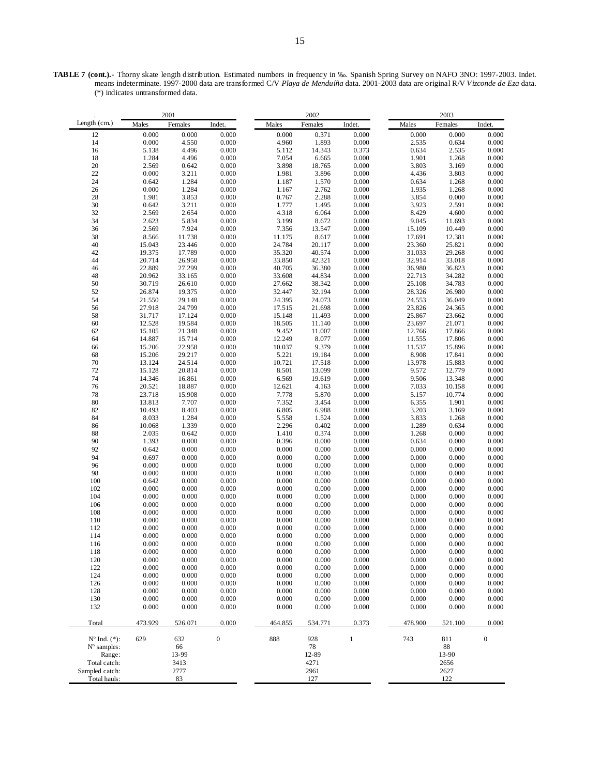**TABLE 7 (cont.).-** Thorny skate length distribution. Estimated numbers in frequency in ‰. Spanish Spring Survey on NAFO 3NO: 1997-2003. Indet. means indeterminate. 1997-2000 data are transformed C/V *Playa de Menduíña* data. 2001-2003 data are original R/V *Vizconde de Eza* data. (\*) indicates untransformed data.

| 2001                     |         |         |                  | 2002    |         |        | 2003    |         |                  |  |
|--------------------------|---------|---------|------------------|---------|---------|--------|---------|---------|------------------|--|
| Length $(cm.)$           | Males   | Females | Indet.           | Males   | Females | Indet. | Males   | Females | Indet.           |  |
| 12                       | 0.000   | 0.000   | 0.000            | 0.000   | 0.371   | 0.000  | 0.000   | 0.000   | 0.000            |  |
| 14                       | 0.000   | 4.550   | 0.000            | 4.960   | 1.893   | 0.000  | 2.535   |         | 0.000            |  |
|                          |         |         |                  |         |         |        |         | 0.634   |                  |  |
| 16                       | 5.138   | 4.496   | 0.000            | 5.112   | 14.343  | 0.373  | 0.634   | 2.535   | 0.000            |  |
| $18\,$                   | 1.284   | 4.496   | 0.000            | 7.054   | 6.665   | 0.000  | 1.901   | 1.268   | 0.000            |  |
| $\overline{20}$          | 2.569   | 0.642   | 0.000            | 3.898   | 18.765  | 0.000  | 3.803   | 3.169   | 0.000            |  |
| 22                       | 0.000   | 3.211   | 0.000            | 1.981   | 3.896   | 0.000  | 4.436   | 3.803   | 0.000            |  |
| 24                       | 0.642   | 1.284   | 0.000            | 1.187   | 1.570   | 0.000  | 0.634   | 1.268   | 0.000            |  |
| 26                       | 0.000   | 1.284   | 0.000            | 1.167   | 2.762   | 0.000  | 1.935   | 1.268   | 0.000            |  |
| 28                       | 1.981   | 3.853   | 0.000            | 0.767   | 2.288   | 0.000  | 3.854   | 0.000   | 0.000            |  |
| 30                       | 0.642   | 3.211   | 0.000            | 1.777   | 1.495   | 0.000  | 3.923   | 2.591   | 0.000            |  |
| 32                       | 2.569   | 2.654   | 0.000            | 4.318   | 6.064   | 0.000  | 8.429   | 4.600   | 0.000            |  |
| 34                       | 2.623   | 5.834   | 0.000            | 3.199   | 8.672   | 0.000  | 9.045   | 11.693  | 0.000            |  |
| 36                       | 2.569   | 7.924   | 0.000            | 7.356   | 13.547  | 0.000  | 15.109  | 10.449  | 0.000            |  |
| 38                       | 8.566   | 11.738  | 0.000            | 11.175  | 8.617   | 0.000  | 17.691  | 12.381  | 0.000            |  |
| 40                       | 15.043  | 23.446  | 0.000            | 24.784  | 20.117  | 0.000  | 23.360  | 25.821  | 0.000            |  |
| 42                       | 19.375  | 17.789  | 0.000            | 35.320  | 40.574  | 0.000  | 31.033  | 29.268  | 0.000            |  |
|                          | 20.714  |         |                  |         |         |        | 32.914  |         |                  |  |
| 44                       |         | 26.958  | 0.000            | 33.850  | 42.321  | 0.000  |         | 33.018  | 0.000            |  |
| 46                       | 22.889  | 27.299  | 0.000            | 40.705  | 36.380  | 0.000  | 36.980  | 36.823  | 0.000            |  |
| 48                       | 20.962  | 33.165  | 0.000            | 33.608  | 44.834  | 0.000  | 22.713  | 34.282  | 0.000            |  |
| 50                       | 30.719  | 26.610  | 0.000            | 27.662  | 38.342  | 0.000  | 25.108  | 34.783  | 0.000            |  |
| 52                       | 26.874  | 19.375  | 0.000            | 32.447  | 32.194  | 0.000  | 28.326  | 26.980  | 0.000            |  |
| 54                       | 21.550  | 29.148  | 0.000            | 24.395  | 24.073  | 0.000  | 24.553  | 36.049  | 0.000            |  |
| 56                       | 27.918  | 24.799  | 0.000            | 17.515  | 21.698  | 0.000  | 23.826  | 24.365  | 0.000            |  |
| 58                       | 31.717  | 17.124  | 0.000            | 15.148  | 11.493  | 0.000  | 25.867  | 23.662  | 0.000            |  |
| 60                       | 12.528  | 19.584  | 0.000            | 18.505  | 11.140  | 0.000  | 23.697  | 21.071  | 0.000            |  |
| 62                       | 15.105  | 21.348  | 0.000            | 9.452   | 11.007  | 0.000  | 12.766  | 17.866  | 0.000            |  |
| 64                       | 14.887  | 15.714  | 0.000            | 12.249  | 8.077   | 0.000  | 11.555  | 17.806  | 0.000            |  |
| 66                       | 15.206  | 22.958  | 0.000            | 10.037  | 9.379   | 0.000  | 11.537  | 15.896  | 0.000            |  |
| 68                       | 15.206  | 29.217  | 0.000            | 5.221   | 19.184  | 0.000  | 8.908   | 17.841  | 0.000            |  |
|                          |         | 24.514  |                  |         |         |        |         |         |                  |  |
| $70\,$                   | 13.124  |         | 0.000            | 10.721  | 17.518  | 0.000  | 13.978  | 15.883  | 0.000            |  |
| 72                       | 15.128  | 20.814  | 0.000            | 8.501   | 13.099  | 0.000  | 9.572   | 12.779  | 0.000            |  |
| 74                       | 14.346  | 16.861  | 0.000            | 6.569   | 19.619  | 0.000  | 9.506   | 13.348  | 0.000            |  |
| 76                       | 20.521  | 18.887  | 0.000            | 12.621  | 4.163   | 0.000  | 7.033   | 10.158  | 0.000            |  |
| 78                       | 23.718  | 15.908  | 0.000            | 7.778   | 5.870   | 0.000  | 5.157   | 10.774  | 0.000            |  |
| 80                       | 13.813  | 7.707   | 0.000            | 7.352   | 3.454   | 0.000  | 6.355   | 1.901   | 0.000            |  |
| 82                       | 10.493  | 8.403   | 0.000            | 6.805   | 6.988   | 0.000  | 3.203   | 3.169   | 0.000            |  |
| 84                       | 8.033   | 1.284   | 0.000            | 5.558   | 1.524   | 0.000  | 3.833   | 1.268   | 0.000            |  |
| 86                       | 10.068  | 1.339   | 0.000            | 2.296   | 0.402   | 0.000  | 1.289   | 0.634   | 0.000            |  |
| 88                       | 2.035   | 0.642   | 0.000            | 1.410   | 0.374   | 0.000  | 1.268   | 0.000   | 0.000            |  |
| 90                       | 1.393   | 0.000   | 0.000            | 0.396   | 0.000   | 0.000  | 0.634   | 0.000   | 0.000            |  |
| 92                       | 0.642   | 0.000   | 0.000            | 0.000   | 0.000   | 0.000  | 0.000   | 0.000   | 0.000            |  |
|                          |         |         |                  |         |         |        |         |         |                  |  |
| 94                       | 0.697   | 0.000   | 0.000            | 0.000   | 0.000   | 0.000  | 0.000   | 0.000   | 0.000            |  |
| 96                       | 0.000   | 0.000   | 0.000            | 0.000   | 0.000   | 0.000  | 0.000   | 0.000   | 0.000            |  |
| 98                       | 0.000   | 0.000   | 0.000            | 0.000   | 0.000   | 0.000  | 0.000   | 0.000   | 0.000            |  |
| 100                      | 0.642   | 0.000   | 0.000            | 0.000   | 0.000   | 0.000  | 0.000   | 0.000   | 0.000            |  |
| 102                      | 0.000   | 0.000   | 0.000            | 0.000   | 0.000   | 0.000  | 0.000   | 0.000   | 0.000            |  |
| 104                      | 0.000   | 0.000   | 0.000            | 0.000   | 0.000   | 0.000  | 0.000   | 0.000   | 0.000            |  |
| 106                      | 0.000   | 0.000   | 0.000            | 0.000   | 0.000   | 0.000  | 0.000   | 0.000   | 0.000            |  |
| 108                      | 0.000   | 0.000   | 0.000            | 0.000   | 0.000   | 0.000  | 0.000   | 0.000   | 0.000            |  |
| 110                      | 0.000   | 0.000   | 0.000            | 0.000   | 0.000   | 0.000  | 0.000   | 0.000   | 0.000            |  |
| 112                      | 0.000   | 0.000   | 0.000            | 0.000   | 0.000   | 0.000  | 0.000   | 0.000   | 0.000            |  |
| 114                      | 0.000   | 0.000   | 0.000            | 0.000   | 0.000   | 0.000  | 0.000   | 0.000   | 0.000            |  |
| 116                      | 0.000   | 0.000   | 0.000            | 0.000   | 0.000   | 0.000  | 0.000   | 0.000   | 0.000            |  |
|                          |         |         |                  |         |         |        |         |         |                  |  |
| 118                      | 0.000   | 0.000   | 0.000            | 0.000   | 0.000   | 0.000  | 0.000   | 0.000   | 0.000            |  |
| 120                      | 0.000   | 0.000   | 0.000            | 0.000   | 0.000   | 0.000  | 0.000   | 0.000   | 0.000            |  |
| 122                      | 0.000   | 0.000   | 0.000            | 0.000   | 0.000   | 0.000  | 0.000   | 0.000   | 0.000            |  |
| 124                      | 0.000   | 0.000   | 0.000            | 0.000   | 0.000   | 0.000  | 0.000   | 0.000   | 0.000            |  |
| 126                      | 0.000   | 0.000   | 0.000            | 0.000   | 0.000   | 0.000  | 0.000   | 0.000   | 0.000            |  |
| 128                      | 0.000   | 0.000   | 0.000            | 0.000   | 0.000   | 0.000  | 0.000   | 0.000   | 0.000            |  |
| 130                      | 0.000   | 0.000   | 0.000            | 0.000   | 0.000   | 0.000  | 0.000   | 0.000   | 0.000            |  |
| 132                      | 0.000   | 0.000   | 0.000            | 0.000   | 0.000   | 0.000  | 0.000   | 0.000   | 0.000            |  |
|                          |         |         |                  |         |         |        |         |         |                  |  |
| Total                    | 473.929 | 526.071 | 0.000            | 464.855 | 534.771 | 0.373  | 478.900 | 521.100 | 0.000            |  |
| $N^{\circ}$ Ind. $(*)$ : | 629     | 632     | $\boldsymbol{0}$ | 888     | 928     | $\,1$  | 743     | 811     | $\boldsymbol{0}$ |  |
| $N^{\circ}$ samples:     |         | 66      |                  |         | 78      |        |         | 88      |                  |  |
| Range:                   |         | 13-99   |                  |         | 12-89   |        |         | 13-90   |                  |  |
| Total catch:             |         | 3413    |                  |         | 4271    |        |         | 2656    |                  |  |
| Sampled catch:           |         | 2777    |                  |         | 2961    |        |         | 2627    |                  |  |
| Total hauls:             |         | 83      |                  |         | 127     |        |         | 122     |                  |  |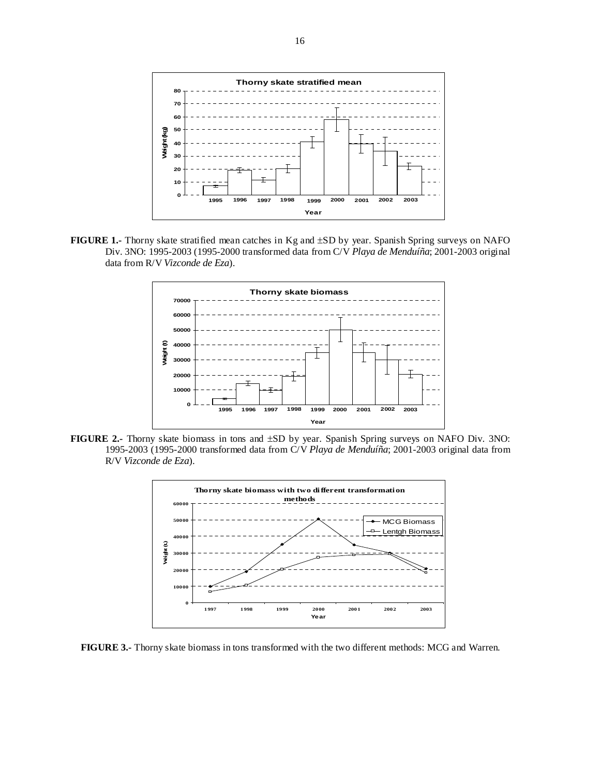

**FIGURE 1.-** Thorny skate stratified mean catches in Kg and ±SD by year. Spanish Spring surveys on NAFO Div. 3NO: 1995-2003 (1995-2000 transformed data from C/V *Playa de Menduíña*; 2001-2003 original data from R/V *Vizconde de Eza*).



**FIGURE 2.-** Thorny skate biomass in tons and ±SD by year. Spanish Spring surveys on NAFO Div. 3NO: 1995-2003 (1995-2000 transformed data from C/V *Playa de Menduíña*; 2001-2003 original data from R/V *Vizconde de Eza*).



**FIGURE 3.-** Thorny skate biomass in tons transformed with the two different methods: MCG and Warren.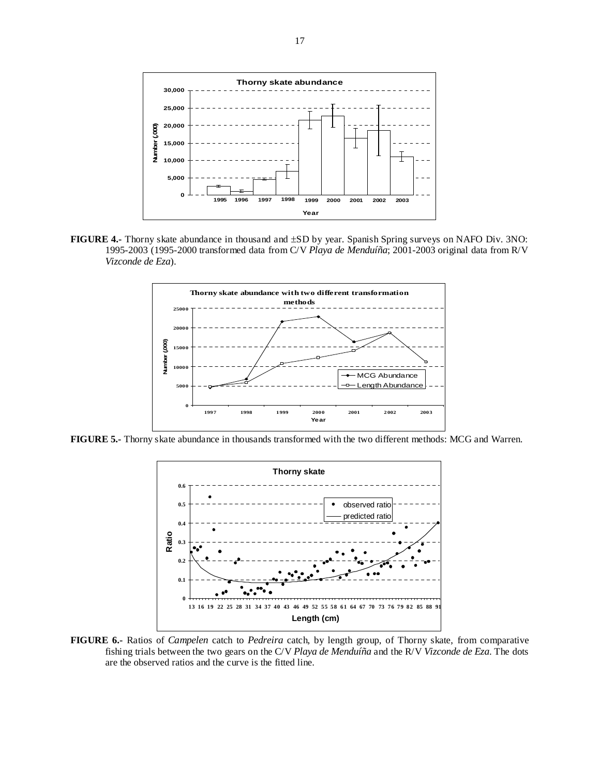

**FIGURE 4.-** Thorny skate abundance in thousand and ±SD by year. Spanish Spring surveys on NAFO Div. 3NO: 1995-2003 (1995-2000 transformed data from C/V *Playa de Menduíña*; 2001-2003 original data from R/V *Vizconde de Eza*).



**FIGURE 5.-** Thorny skate abundance in thousands transformed with the two different methods: MCG and Warren.



**FIGURE 6.-** Ratios of *Campelen* catch to *Pedreira* catch, by length group, of Thorny skate, from comparative fishing trials between the two gears on the C/V *Playa de Menduíña* and the R/V *Vizconde de Eza*. The dots are the observed ratios and the curve is the fitted line.